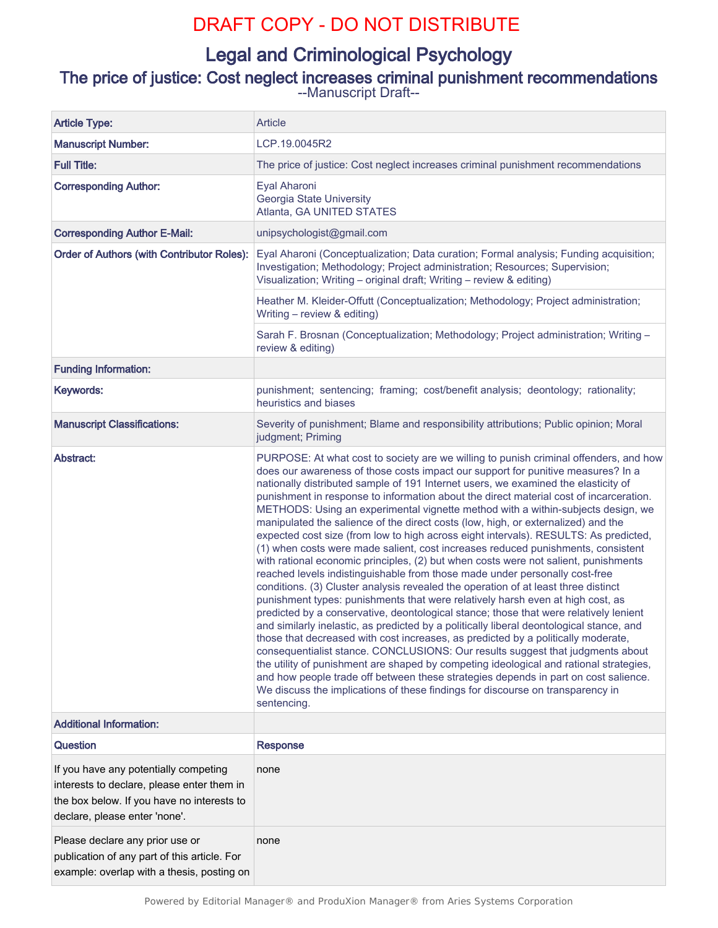# DRAFT COPY - DO NOT DISTRIBUTE

# Legal and Criminological Psychology

# The price of justice: Cost neglect increases criminal punishment recommendations --Manuscript Draft--

| <b>Article Type:</b>                                                                                                                                               | Article                                                                                                                                                                                                                                                                                                                                                                                                                                                                                                                                                                                                                                                                                                                                                                                                                                                                                                                                                                                                                                                                                                                                                                                                                                                                                                                                                                                                                                                                                                                                                                                                                                                                                                    |  |  |
|--------------------------------------------------------------------------------------------------------------------------------------------------------------------|------------------------------------------------------------------------------------------------------------------------------------------------------------------------------------------------------------------------------------------------------------------------------------------------------------------------------------------------------------------------------------------------------------------------------------------------------------------------------------------------------------------------------------------------------------------------------------------------------------------------------------------------------------------------------------------------------------------------------------------------------------------------------------------------------------------------------------------------------------------------------------------------------------------------------------------------------------------------------------------------------------------------------------------------------------------------------------------------------------------------------------------------------------------------------------------------------------------------------------------------------------------------------------------------------------------------------------------------------------------------------------------------------------------------------------------------------------------------------------------------------------------------------------------------------------------------------------------------------------------------------------------------------------------------------------------------------------|--|--|
| <b>Manuscript Number:</b>                                                                                                                                          | LCP.19.0045R2                                                                                                                                                                                                                                                                                                                                                                                                                                                                                                                                                                                                                                                                                                                                                                                                                                                                                                                                                                                                                                                                                                                                                                                                                                                                                                                                                                                                                                                                                                                                                                                                                                                                                              |  |  |
| <b>Full Title:</b>                                                                                                                                                 | The price of justice: Cost neglect increases criminal punishment recommendations                                                                                                                                                                                                                                                                                                                                                                                                                                                                                                                                                                                                                                                                                                                                                                                                                                                                                                                                                                                                                                                                                                                                                                                                                                                                                                                                                                                                                                                                                                                                                                                                                           |  |  |
| <b>Corresponding Author:</b>                                                                                                                                       | Eyal Aharoni<br>Georgia State University<br>Atlanta, GA UNITED STATES                                                                                                                                                                                                                                                                                                                                                                                                                                                                                                                                                                                                                                                                                                                                                                                                                                                                                                                                                                                                                                                                                                                                                                                                                                                                                                                                                                                                                                                                                                                                                                                                                                      |  |  |
| <b>Corresponding Author E-Mail:</b>                                                                                                                                | unipsychologist@gmail.com                                                                                                                                                                                                                                                                                                                                                                                                                                                                                                                                                                                                                                                                                                                                                                                                                                                                                                                                                                                                                                                                                                                                                                                                                                                                                                                                                                                                                                                                                                                                                                                                                                                                                  |  |  |
| Order of Authors (with Contributor Roles):                                                                                                                         | Eyal Aharoni (Conceptualization; Data curation; Formal analysis; Funding acquisition;<br>Investigation; Methodology; Project administration; Resources; Supervision;<br>Visualization; Writing - original draft; Writing - review & editing)                                                                                                                                                                                                                                                                                                                                                                                                                                                                                                                                                                                                                                                                                                                                                                                                                                                                                                                                                                                                                                                                                                                                                                                                                                                                                                                                                                                                                                                               |  |  |
|                                                                                                                                                                    | Heather M. Kleider-Offutt (Conceptualization; Methodology; Project administration;<br>Writing - review & editing)                                                                                                                                                                                                                                                                                                                                                                                                                                                                                                                                                                                                                                                                                                                                                                                                                                                                                                                                                                                                                                                                                                                                                                                                                                                                                                                                                                                                                                                                                                                                                                                          |  |  |
|                                                                                                                                                                    | Sarah F. Brosnan (Conceptualization; Methodology; Project administration; Writing -<br>review & editing)                                                                                                                                                                                                                                                                                                                                                                                                                                                                                                                                                                                                                                                                                                                                                                                                                                                                                                                                                                                                                                                                                                                                                                                                                                                                                                                                                                                                                                                                                                                                                                                                   |  |  |
| <b>Funding Information:</b>                                                                                                                                        |                                                                                                                                                                                                                                                                                                                                                                                                                                                                                                                                                                                                                                                                                                                                                                                                                                                                                                                                                                                                                                                                                                                                                                                                                                                                                                                                                                                                                                                                                                                                                                                                                                                                                                            |  |  |
| Keywords:                                                                                                                                                          | punishment; sentencing; framing; cost/benefit analysis; deontology; rationality;<br>heuristics and biases                                                                                                                                                                                                                                                                                                                                                                                                                                                                                                                                                                                                                                                                                                                                                                                                                                                                                                                                                                                                                                                                                                                                                                                                                                                                                                                                                                                                                                                                                                                                                                                                  |  |  |
| <b>Manuscript Classifications:</b>                                                                                                                                 | Severity of punishment; Blame and responsibility attributions; Public opinion; Moral<br>judgment; Priming                                                                                                                                                                                                                                                                                                                                                                                                                                                                                                                                                                                                                                                                                                                                                                                                                                                                                                                                                                                                                                                                                                                                                                                                                                                                                                                                                                                                                                                                                                                                                                                                  |  |  |
| Abstract:                                                                                                                                                          | PURPOSE: At what cost to society are we willing to punish criminal offenders, and how<br>does our awareness of those costs impact our support for punitive measures? In a<br>nationally distributed sample of 191 Internet users, we examined the elasticity of<br>punishment in response to information about the direct material cost of incarceration.<br>METHODS: Using an experimental vignette method with a within-subjects design, we<br>manipulated the salience of the direct costs (low, high, or externalized) and the<br>expected cost size (from low to high across eight intervals). RESULTS: As predicted,<br>(1) when costs were made salient, cost increases reduced punishments, consistent<br>with rational economic principles, (2) but when costs were not salient, punishments<br>reached levels indistinguishable from those made under personally cost-free<br>conditions. (3) Cluster analysis revealed the operation of at least three distinct<br>punishment types: punishments that were relatively harsh even at high cost, as<br>predicted by a conservative, deontological stance; those that were relatively lenient<br>and similarly inelastic, as predicted by a politically liberal deontological stance, and<br>those that decreased with cost increases, as predicted by a politically moderate,<br>consequentialist stance. CONCLUSIONS: Our results suggest that judgments about<br>the utility of punishment are shaped by competing ideological and rational strategies,<br>and how people trade off between these strategies depends in part on cost salience.<br>We discuss the implications of these findings for discourse on transparency in<br>sentencing. |  |  |
| <b>Additional Information:</b>                                                                                                                                     |                                                                                                                                                                                                                                                                                                                                                                                                                                                                                                                                                                                                                                                                                                                                                                                                                                                                                                                                                                                                                                                                                                                                                                                                                                                                                                                                                                                                                                                                                                                                                                                                                                                                                                            |  |  |
| Question                                                                                                                                                           | <b>Response</b>                                                                                                                                                                                                                                                                                                                                                                                                                                                                                                                                                                                                                                                                                                                                                                                                                                                                                                                                                                                                                                                                                                                                                                                                                                                                                                                                                                                                                                                                                                                                                                                                                                                                                            |  |  |
| If you have any potentially competing<br>interests to declare, please enter them in<br>the box below. If you have no interests to<br>declare, please enter 'none'. | none                                                                                                                                                                                                                                                                                                                                                                                                                                                                                                                                                                                                                                                                                                                                                                                                                                                                                                                                                                                                                                                                                                                                                                                                                                                                                                                                                                                                                                                                                                                                                                                                                                                                                                       |  |  |
| Please declare any prior use or<br>publication of any part of this article. For<br>example: overlap with a thesis, posting on                                      | none                                                                                                                                                                                                                                                                                                                                                                                                                                                                                                                                                                                                                                                                                                                                                                                                                                                                                                                                                                                                                                                                                                                                                                                                                                                                                                                                                                                                                                                                                                                                                                                                                                                                                                       |  |  |

*Powered by Editorial Manager® and ProduXion Manager® from Aries Systems Corporation*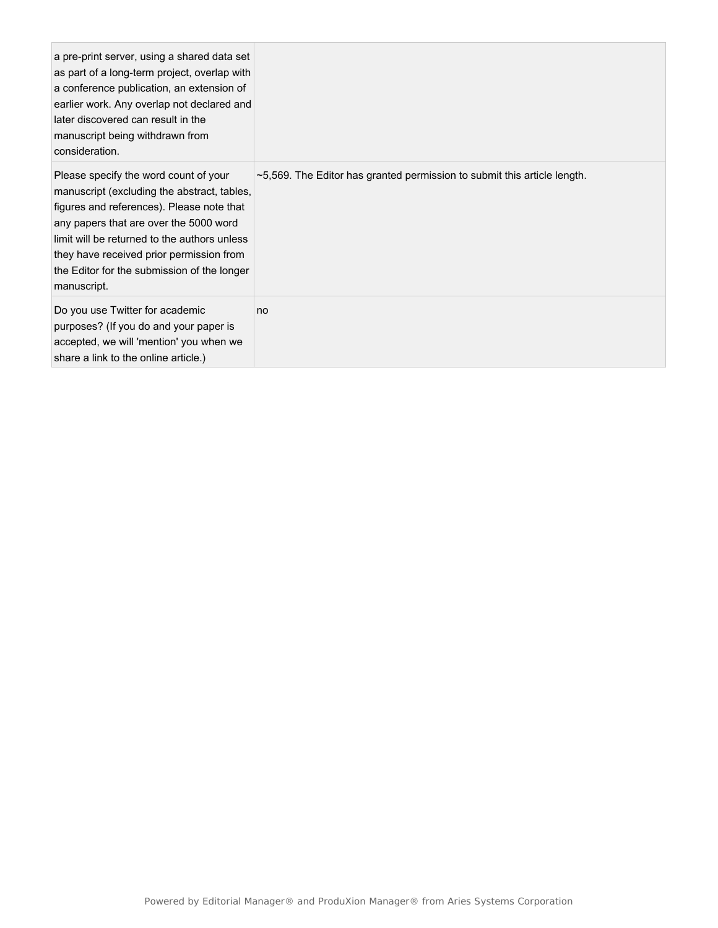| a pre-print server, using a shared data set<br>as part of a long-term project, overlap with<br>a conference publication, an extension of<br>earlier work. Any overlap not declared and<br>later discovered can result in the<br>manuscript being withdrawn from<br>consideration.                                                     |                                                                                |
|---------------------------------------------------------------------------------------------------------------------------------------------------------------------------------------------------------------------------------------------------------------------------------------------------------------------------------------|--------------------------------------------------------------------------------|
| Please specify the word count of your<br>manuscript (excluding the abstract, tables,<br>figures and references). Please note that<br>any papers that are over the 5000 word<br>limit will be returned to the authors unless<br>they have received prior permission from<br>the Editor for the submission of the longer<br>manuscript. | $\sim$ 5,569. The Editor has granted permission to submit this article length. |
| Do you use Twitter for academic<br>purposes? (If you do and your paper is<br>accepted, we will 'mention' you when we<br>share a link to the online article.)                                                                                                                                                                          | no                                                                             |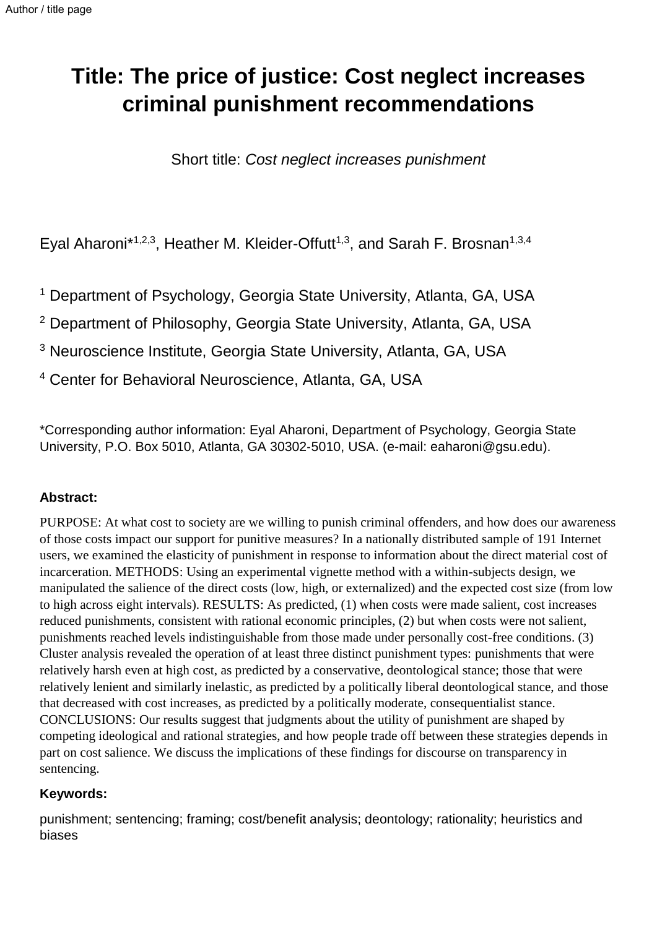# **Title: The price of justice: Cost neglect increases criminal punishment recommendations**

Short title: *Cost neglect increases punishment* 

Eyal Aharoni\*<sup>1,2,3</sup>, Heather M. Kleider-Offutt<sup>1,3</sup>, and Sarah F. Brosnan<sup>1,3,4</sup>

<sup>1</sup> Department of Psychology, Georgia State University, Atlanta, GA, USA

<sup>2</sup> Department of Philosophy, Georgia State University, Atlanta, GA, USA

<sup>3</sup> Neuroscience Institute, Georgia State University, Atlanta, GA, USA

4 Center for Behavioral Neuroscience, Atlanta, GA, USA

\*Corresponding author information: Eyal Aharoni, Department of Psychology, Georgia State University, P.O. Box 5010, Atlanta, GA 30302‐5010, USA. (e-mail: eaharoni@gsu.edu).

# **Abstract:**

PURPOSE: At what cost to society are we willing to punish criminal offenders, and how does our awareness of those costs impact our support for punitive measures? In a nationally distributed sample of 191 Internet users, we examined the elasticity of punishment in response to information about the direct material cost of incarceration. METHODS: Using an experimental vignette method with a within-subjects design, we manipulated the salience of the direct costs (low, high, or externalized) and the expected cost size (from low to high across eight intervals). RESULTS: As predicted, (1) when costs were made salient, cost increases reduced punishments, consistent with rational economic principles, (2) but when costs were not salient, punishments reached levels indistinguishable from those made under personally cost-free conditions. (3) Cluster analysis revealed the operation of at least three distinct punishment types: punishments that were relatively harsh even at high cost, as predicted by a conservative, deontological stance; those that were relatively lenient and similarly inelastic, as predicted by a politically liberal deontological stance, and those that decreased with cost increases, as predicted by a politically moderate, consequentialist stance. CONCLUSIONS: Our results suggest that judgments about the utility of punishment are shaped by competing ideological and rational strategies, and how people trade off between these strategies depends in part on cost salience. We discuss the implications of these findings for discourse on transparency in sentencing.

# **Keywords:**

punishment; sentencing; framing; cost/benefit analysis; deontology; rationality; heuristics and biases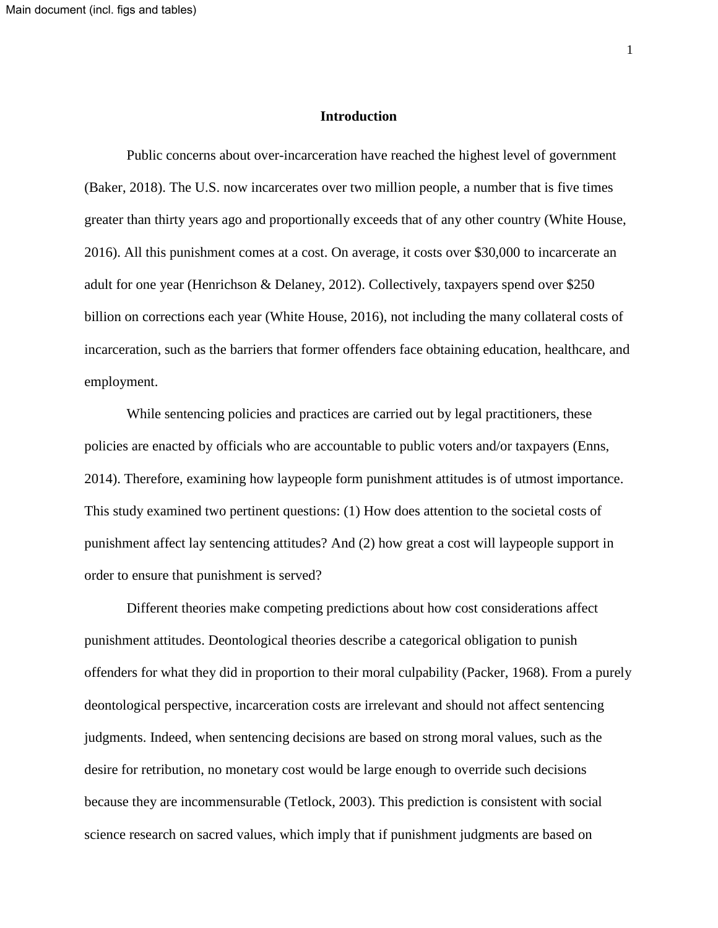#### **Introduction**

Public concerns about over-incarceration have reached the highest level of government (Baker, 2018). The U.S. now incarcerates over two million people, a number that is five times greater than thirty years ago and proportionally exceeds that of any other country (White House, 2016). All this punishment comes at a cost. On average, it costs over \$30,000 to incarcerate an adult for one year (Henrichson & Delaney, 2012). Collectively, taxpayers spend over \$250 billion on corrections each year (White House, 2016), not including the many collateral costs of incarceration, such as the barriers that former offenders face obtaining education, healthcare, and employment.

While sentencing policies and practices are carried out by legal practitioners, these policies are enacted by officials who are accountable to public voters and/or taxpayers (Enns, 2014). Therefore, examining how laypeople form punishment attitudes is of utmost importance. This study examined two pertinent questions: (1) How does attention to the societal costs of punishment affect lay sentencing attitudes? And (2) how great a cost will laypeople support in order to ensure that punishment is served?

Different theories make competing predictions about how cost considerations affect punishment attitudes. Deontological theories describe a categorical obligation to punish offenders for what they did in proportion to their moral culpability (Packer, 1968). From a purely deontological perspective, incarceration costs are irrelevant and should not affect sentencing judgments. Indeed, when sentencing decisions are based on strong moral values, such as the desire for retribution, no monetary cost would be large enough to override such decisions because they are incommensurable (Tetlock, 2003). This prediction is consistent with social science research on sacred values, which imply that if punishment judgments are based on

1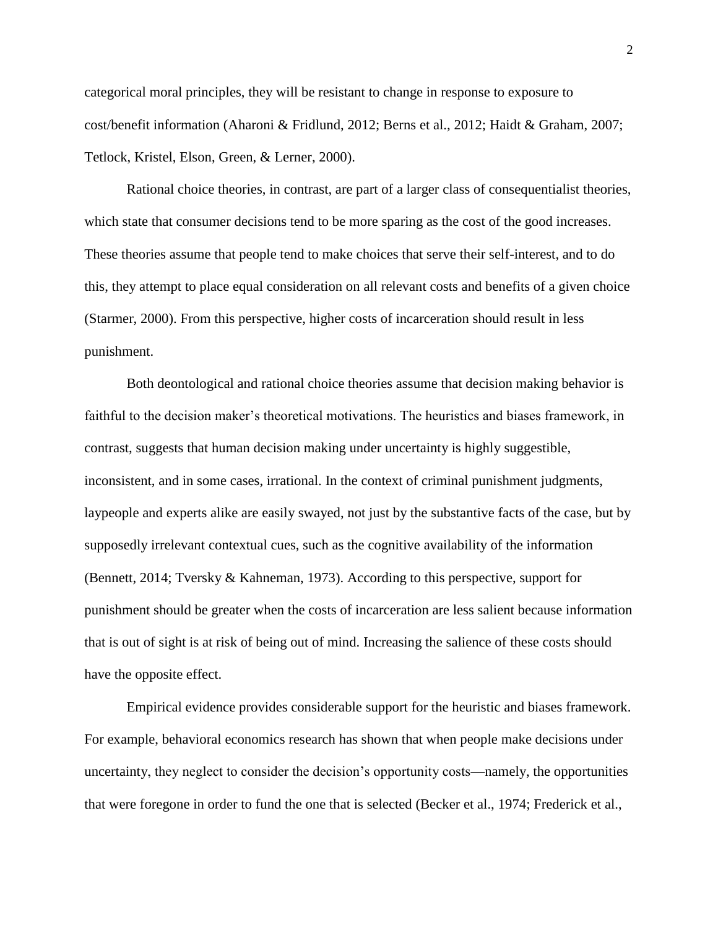categorical moral principles, they will be resistant to change in response to exposure to cost/benefit information (Aharoni & Fridlund, 2012; Berns et al., 2012; Haidt & Graham, 2007; Tetlock, Kristel, Elson, Green, & Lerner, 2000).

Rational choice theories, in contrast, are part of a larger class of consequentialist theories, which state that consumer decisions tend to be more sparing as the cost of the good increases. These theories assume that people tend to make choices that serve their self-interest, and to do this, they attempt to place equal consideration on all relevant costs and benefits of a given choice (Starmer, 2000). From this perspective, higher costs of incarceration should result in less punishment.

Both deontological and rational choice theories assume that decision making behavior is faithful to the decision maker's theoretical motivations. The heuristics and biases framework, in contrast, suggests that human decision making under uncertainty is highly suggestible, inconsistent, and in some cases, irrational. In the context of criminal punishment judgments, laypeople and experts alike are easily swayed, not just by the substantive facts of the case, but by supposedly irrelevant contextual cues, such as the cognitive availability of the information (Bennett, 2014; Tversky & Kahneman, 1973). According to this perspective, support for punishment should be greater when the costs of incarceration are less salient because information that is out of sight is at risk of being out of mind. Increasing the salience of these costs should have the opposite effect.

Empirical evidence provides considerable support for the heuristic and biases framework. For example, behavioral economics research has shown that when people make decisions under uncertainty, they neglect to consider the decision's opportunity costs—namely, the opportunities that were foregone in order to fund the one that is selected (Becker et al., 1974; Frederick et al.,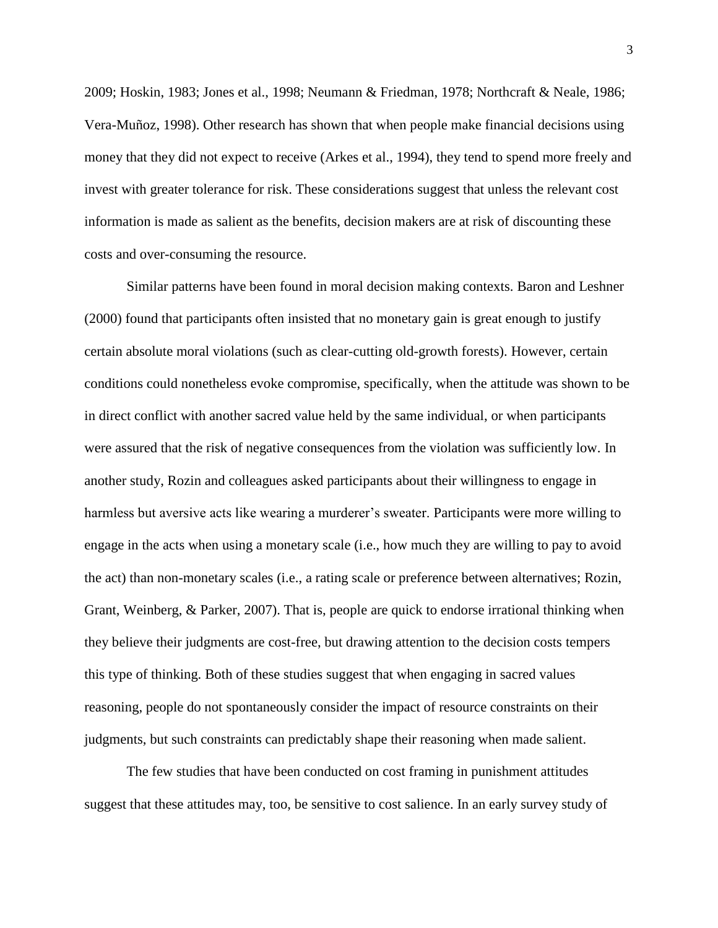2009; Hoskin, 1983; Jones et al., 1998; Neumann & Friedman, 1978; Northcraft & Neale, 1986; Vera-Muñoz, 1998). Other research has shown that when people make financial decisions using money that they did not expect to receive (Arkes et al., 1994), they tend to spend more freely and invest with greater tolerance for risk. These considerations suggest that unless the relevant cost information is made as salient as the benefits, decision makers are at risk of discounting these costs and over-consuming the resource.

Similar patterns have been found in moral decision making contexts. Baron and Leshner (2000) found that participants often insisted that no monetary gain is great enough to justify certain absolute moral violations (such as clear-cutting old-growth forests). However, certain conditions could nonetheless evoke compromise, specifically, when the attitude was shown to be in direct conflict with another sacred value held by the same individual, or when participants were assured that the risk of negative consequences from the violation was sufficiently low. In another study, Rozin and colleagues asked participants about their willingness to engage in harmless but aversive acts like wearing a murderer's sweater. Participants were more willing to engage in the acts when using a monetary scale (i.e., how much they are willing to pay to avoid the act) than non-monetary scales (i.e., a rating scale or preference between alternatives; Rozin, Grant, Weinberg, & Parker, 2007). That is, people are quick to endorse irrational thinking when they believe their judgments are cost-free, but drawing attention to the decision costs tempers this type of thinking. Both of these studies suggest that when engaging in sacred values reasoning, people do not spontaneously consider the impact of resource constraints on their judgments, but such constraints can predictably shape their reasoning when made salient.

The few studies that have been conducted on cost framing in punishment attitudes suggest that these attitudes may, too, be sensitive to cost salience. In an early survey study of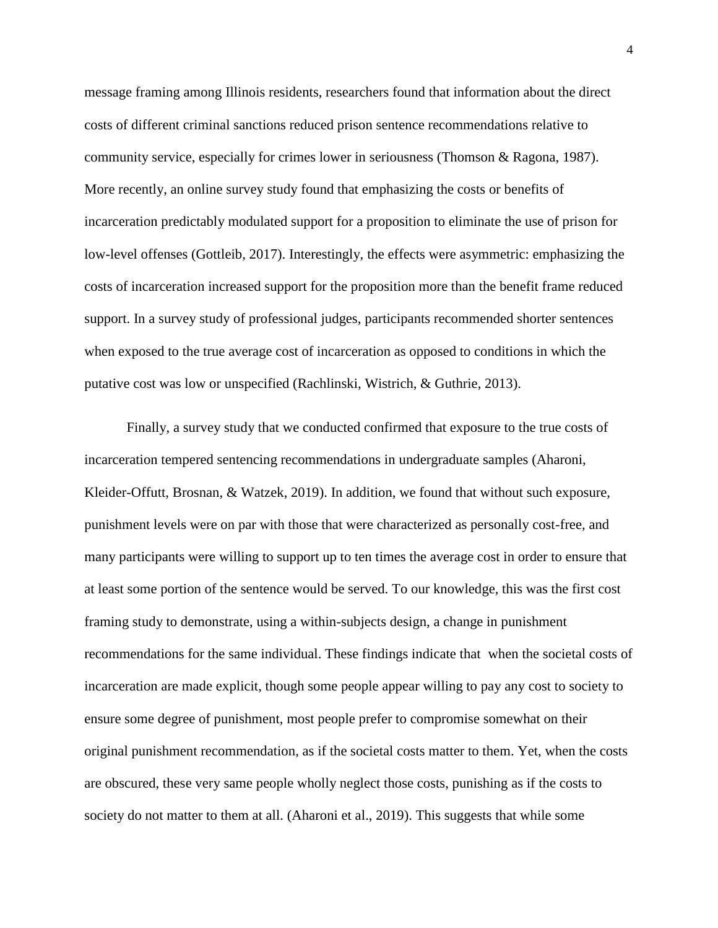message framing among Illinois residents, researchers found that information about the direct costs of different criminal sanctions reduced prison sentence recommendations relative to community service, especially for crimes lower in seriousness (Thomson & Ragona, 1987). More recently, an online survey study found that emphasizing the costs or benefits of incarceration predictably modulated support for a proposition to eliminate the use of prison for low-level offenses (Gottleib, 2017). Interestingly, the effects were asymmetric: emphasizing the costs of incarceration increased support for the proposition more than the benefit frame reduced support. In a survey study of professional judges, participants recommended shorter sentences when exposed to the true average cost of incarceration as opposed to conditions in which the putative cost was low or unspecified (Rachlinski, Wistrich, & Guthrie, 2013).

Finally, a survey study that we conducted confirmed that exposure to the true costs of incarceration tempered sentencing recommendations in undergraduate samples (Aharoni, Kleider-Offutt, Brosnan, & Watzek, 2019). In addition, we found that without such exposure, punishment levels were on par with those that were characterized as personally cost-free, and many participants were willing to support up to ten times the average cost in order to ensure that at least some portion of the sentence would be served. To our knowledge, this was the first cost framing study to demonstrate, using a within-subjects design, a change in punishment recommendations for the same individual. These findings indicate that when the societal costs of incarceration are made explicit, though some people appear willing to pay any cost to society to ensure some degree of punishment, most people prefer to compromise somewhat on their original punishment recommendation, as if the societal costs matter to them. Yet, when the costs are obscured, these very same people wholly neglect those costs, punishing as if the costs to society do not matter to them at all. (Aharoni et al., 2019). This suggests that while some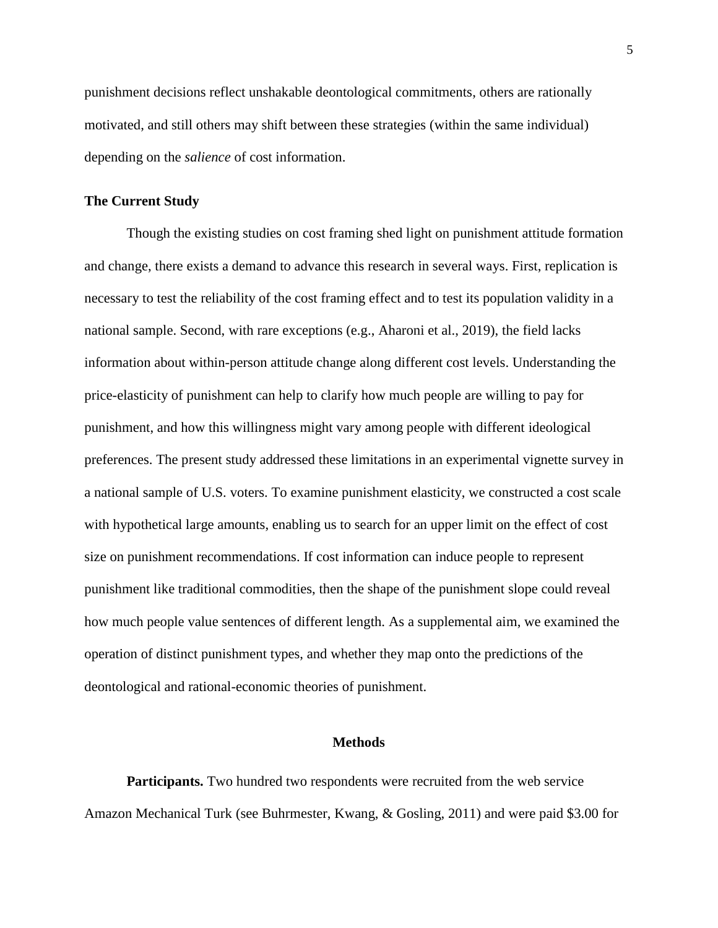punishment decisions reflect unshakable deontological commitments, others are rationally motivated, and still others may shift between these strategies (within the same individual) depending on the *salience* of cost information.

#### **The Current Study**

Though the existing studies on cost framing shed light on punishment attitude formation and change, there exists a demand to advance this research in several ways. First, replication is necessary to test the reliability of the cost framing effect and to test its population validity in a national sample. Second, with rare exceptions (e.g., Aharoni et al., 2019), the field lacks information about within-person attitude change along different cost levels. Understanding the price-elasticity of punishment can help to clarify how much people are willing to pay for punishment, and how this willingness might vary among people with different ideological preferences. The present study addressed these limitations in an experimental vignette survey in a national sample of U.S. voters. To examine punishment elasticity, we constructed a cost scale with hypothetical large amounts, enabling us to search for an upper limit on the effect of cost size on punishment recommendations. If cost information can induce people to represent punishment like traditional commodities, then the shape of the punishment slope could reveal how much people value sentences of different length. As a supplemental aim, we examined the operation of distinct punishment types, and whether they map onto the predictions of the deontological and rational-economic theories of punishment.

#### **Methods**

**Participants.** Two hundred two respondents were recruited from the web service Amazon Mechanical Turk (see Buhrmester, Kwang, & Gosling, 2011) and were paid \$3.00 for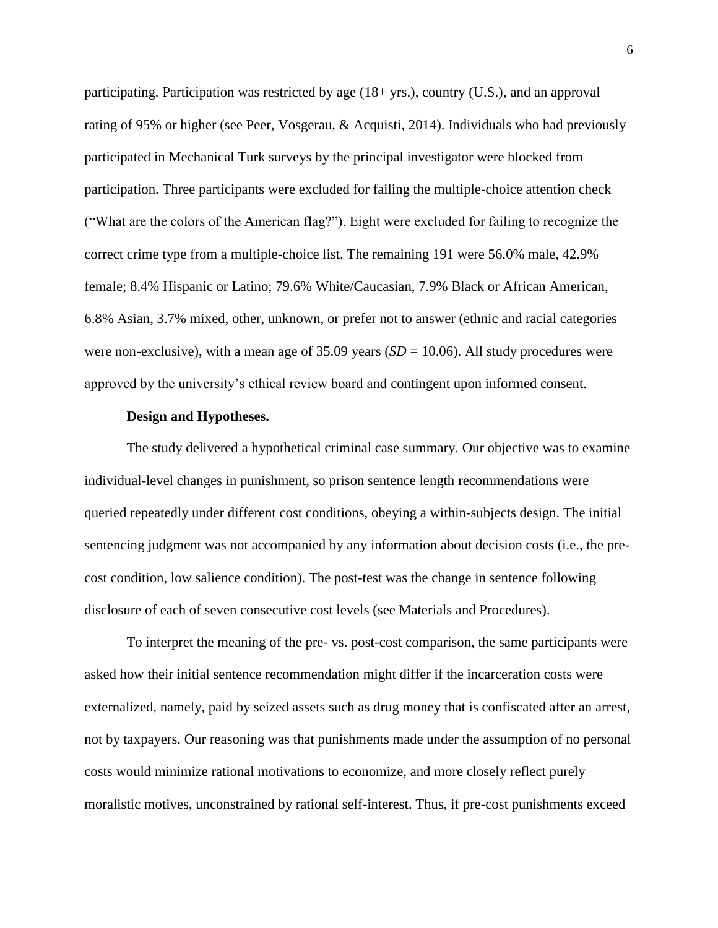participating. Participation was restricted by age (18+ yrs.), country (U.S.), and an approval rating of 95% or higher (see Peer, Vosgerau, & Acquisti, 2014). Individuals who had previously participated in Mechanical Turk surveys by the principal investigator were blocked from participation. Three participants were excluded for failing the multiple-choice attention check ("What are the colors of the American flag?"). Eight were excluded for failing to recognize the correct crime type from a multiple-choice list. The remaining 191 were 56.0% male, 42.9% female; 8.4% Hispanic or Latino; 79.6% White/Caucasian, 7.9% Black or African American, 6.8% Asian, 3.7% mixed, other, unknown, or prefer not to answer (ethnic and racial categories were non-exclusive), with a mean age of  $35.09$  years  $(SD = 10.06)$ . All study procedures were approved by the university's ethical review board and contingent upon informed consent.

#### **Design and Hypotheses.**

The study delivered a hypothetical criminal case summary. Our objective was to examine individual-level changes in punishment, so prison sentence length recommendations were queried repeatedly under different cost conditions, obeying a within-subjects design. The initial sentencing judgment was not accompanied by any information about decision costs (i.e., the precost condition, low salience condition). The post-test was the change in sentence following disclosure of each of seven consecutive cost levels (see Materials and Procedures).

To interpret the meaning of the pre- vs. post-cost comparison, the same participants were asked how their initial sentence recommendation might differ if the incarceration costs were externalized, namely, paid by seized assets such as drug money that is confiscated after an arrest, not by taxpayers. Our reasoning was that punishments made under the assumption of no personal costs would minimize rational motivations to economize, and more closely reflect purely moralistic motives, unconstrained by rational self-interest. Thus, if pre-cost punishments exceed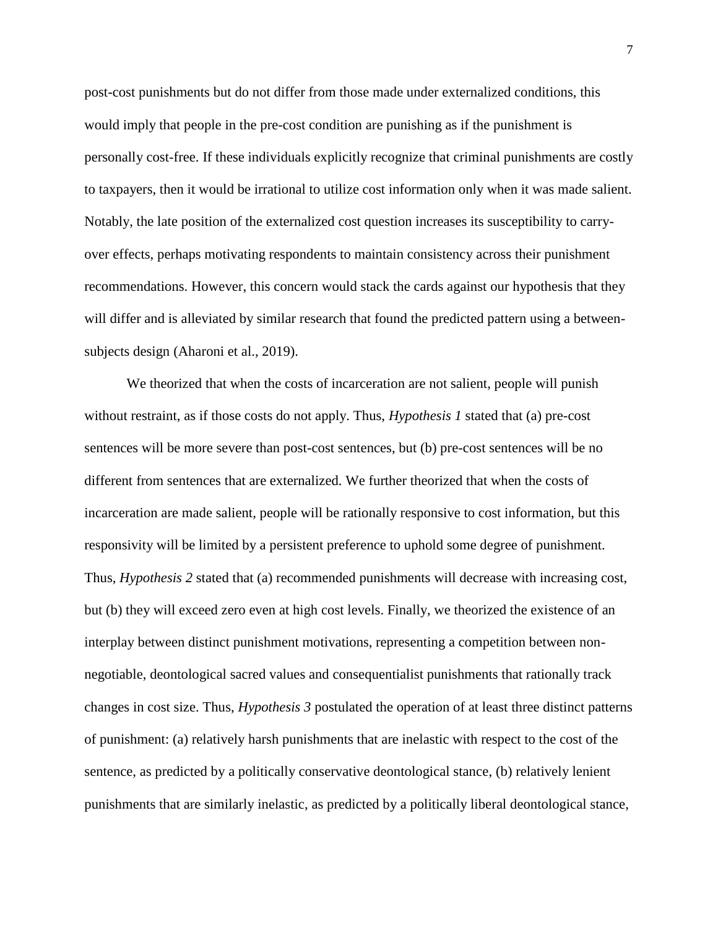post-cost punishments but do not differ from those made under externalized conditions, this would imply that people in the pre-cost condition are punishing as if the punishment is personally cost-free. If these individuals explicitly recognize that criminal punishments are costly to taxpayers, then it would be irrational to utilize cost information only when it was made salient. Notably, the late position of the externalized cost question increases its susceptibility to carryover effects, perhaps motivating respondents to maintain consistency across their punishment recommendations. However, this concern would stack the cards against our hypothesis that they will differ and is alleviated by similar research that found the predicted pattern using a betweensubjects design (Aharoni et al., 2019).

We theorized that when the costs of incarceration are not salient, people will punish without restraint, as if those costs do not apply. Thus, *Hypothesis 1* stated that (a) pre-cost sentences will be more severe than post-cost sentences, but (b) pre-cost sentences will be no different from sentences that are externalized. We further theorized that when the costs of incarceration are made salient, people will be rationally responsive to cost information, but this responsivity will be limited by a persistent preference to uphold some degree of punishment. Thus, *Hypothesis 2* stated that (a) recommended punishments will decrease with increasing cost, but (b) they will exceed zero even at high cost levels. Finally, we theorized the existence of an interplay between distinct punishment motivations, representing a competition between nonnegotiable, deontological sacred values and consequentialist punishments that rationally track changes in cost size. Thus, *Hypothesis 3* postulated the operation of at least three distinct patterns of punishment: (a) relatively harsh punishments that are inelastic with respect to the cost of the sentence, as predicted by a politically conservative deontological stance, (b) relatively lenient punishments that are similarly inelastic, as predicted by a politically liberal deontological stance,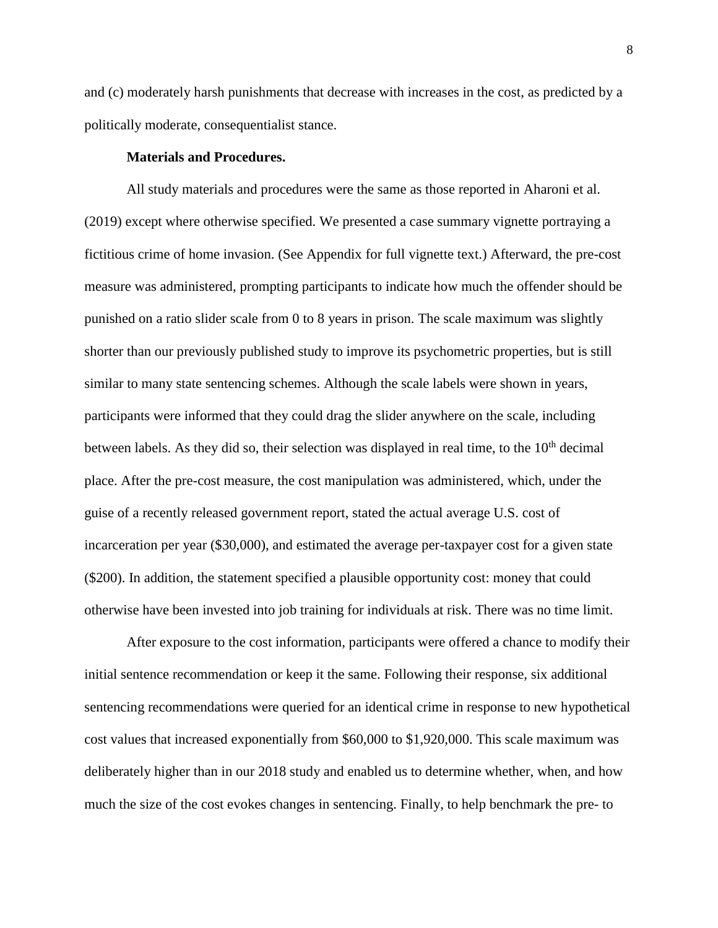and (c) moderately harsh punishments that decrease with increases in the cost, as predicted by a politically moderate, consequentialist stance.

#### **Materials and Procedures.**

All study materials and procedures were the same as those reported in Aharoni et al. (2019) except where otherwise specified. We presented a case summary vignette portraying a fictitious crime of home invasion. (See Appendix for full vignette text.) Afterward, the pre-cost measure was administered, prompting participants to indicate how much the offender should be punished on a ratio slider scale from 0 to 8 years in prison. The scale maximum was slightly shorter than our previously published study to improve its psychometric properties, but is still similar to many state sentencing schemes. Although the scale labels were shown in years, participants were informed that they could drag the slider anywhere on the scale, including between labels. As they did so, their selection was displayed in real time, to the  $10<sup>th</sup>$  decimal place. After the pre-cost measure, the cost manipulation was administered, which, under the guise of a recently released government report, stated the actual average U.S. cost of incarceration per year (\$30,000), and estimated the average per-taxpayer cost for a given state (\$200). In addition, the statement specified a plausible opportunity cost: money that could otherwise have been invested into job training for individuals at risk. There was no time limit.

After exposure to the cost information, participants were offered a chance to modify their initial sentence recommendation or keep it the same. Following their response, six additional sentencing recommendations were queried for an identical crime in response to new hypothetical cost values that increased exponentially from \$60,000 to \$1,920,000. This scale maximum was deliberately higher than in our 2018 study and enabled us to determine whether, when, and how much the size of the cost evokes changes in sentencing. Finally, to help benchmark the pre- to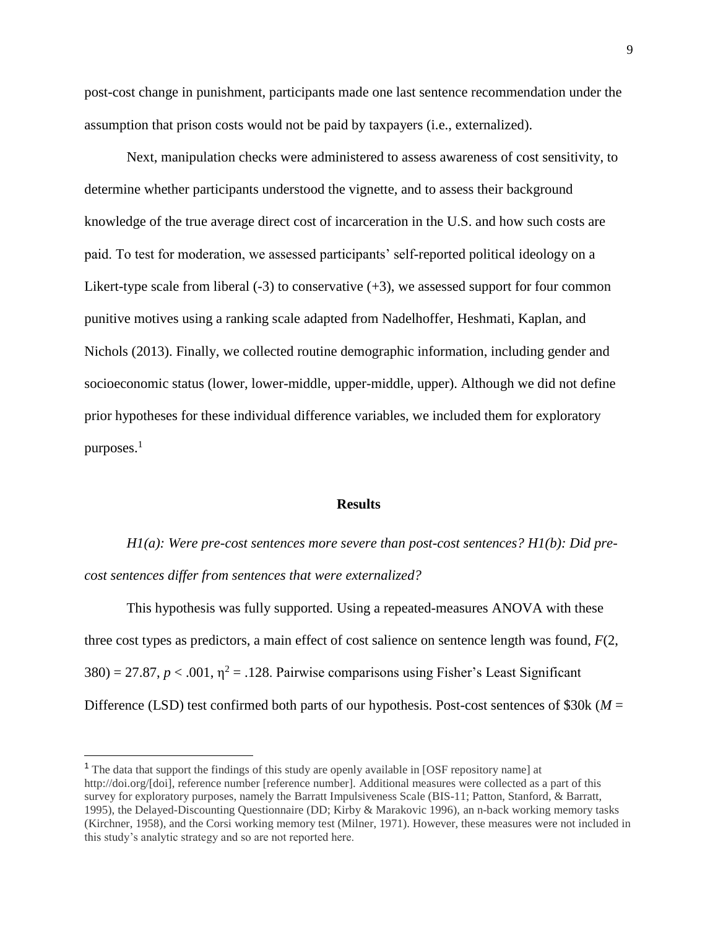post-cost change in punishment, participants made one last sentence recommendation under the assumption that prison costs would not be paid by taxpayers (i.e., externalized).

Next, manipulation checks were administered to assess awareness of cost sensitivity, to determine whether participants understood the vignette, and to assess their background knowledge of the true average direct cost of incarceration in the U.S. and how such costs are paid. To test for moderation, we assessed participants' self-reported political ideology on a Likert-type scale from liberal  $(-3)$  to conservative  $(+3)$ , we assessed support for four common punitive motives using a ranking scale adapted from Nadelhoffer, Heshmati, Kaplan, and Nichols (2013). Finally, we collected routine demographic information, including gender and socioeconomic status (lower, lower-middle, upper-middle, upper). Although we did not define prior hypotheses for these individual difference variables, we included them for exploratory purposes. $<sup>1</sup>$ </sup>

#### **Results**

*H1(a): Were pre-cost sentences more severe than post-cost sentences? H1(b): Did precost sentences differ from sentences that were externalized?*

This hypothesis was fully supported. Using a repeated-measures ANOVA with these three cost types as predictors, a main effect of cost salience on sentence length was found, *F*(2,  $380$ ) = 27.87,  $p < .001$ ,  $\eta^2$  = .128. Pairwise comparisons using Fisher's Least Significant Difference (LSD) test confirmed both parts of our hypothesis. Post-cost sentences of \$30k (*M* =

 $\overline{a}$ 

<sup>&</sup>lt;sup>1</sup> The data that support the findings of this study are openly available in [OSF repository name] at http://doi.org/[doi], reference number [reference number]. Additional measures were collected as a part of this survey for exploratory purposes, namely the Barratt Impulsiveness Scale (BIS-11; Patton, Stanford, & Barratt, 1995), the Delayed-Discounting Questionnaire (DD; Kirby & Marakovic 1996), an n-back working memory tasks (Kirchner, 1958), and the Corsi working memory test (Milner, 1971). However, these measures were not included in this study's analytic strategy and so are not reported here.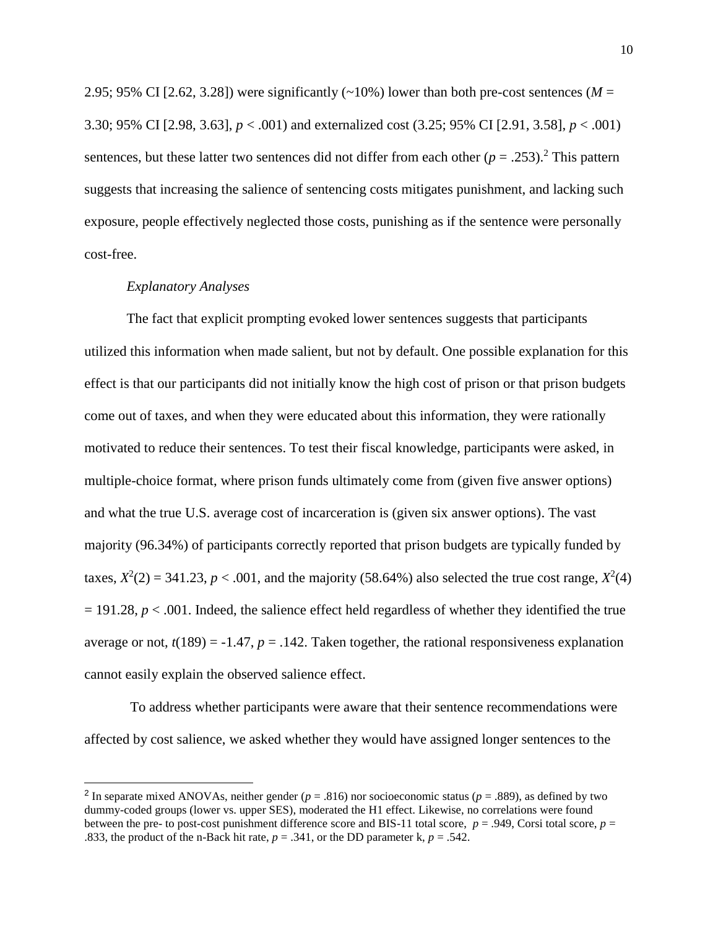2.95; 95% CI [2.62, 3.28]) were significantly  $(\sim 10\%)$  lower than both pre-cost sentences ( $M =$ 3.30; 95% CI [2.98, 3.63], *p* < .001) and externalized cost (3.25; 95% CI [2.91, 3.58], *p* < .001) sentences, but these latter two sentences did not differ from each other  $(p = .253)$ .<sup>2</sup> This pattern suggests that increasing the salience of sentencing costs mitigates punishment, and lacking such exposure, people effectively neglected those costs, punishing as if the sentence were personally cost-free.

#### *Explanatory Analyses*

The fact that explicit prompting evoked lower sentences suggests that participants utilized this information when made salient, but not by default. One possible explanation for this effect is that our participants did not initially know the high cost of prison or that prison budgets come out of taxes, and when they were educated about this information, they were rationally motivated to reduce their sentences. To test their fiscal knowledge, participants were asked, in multiple-choice format, where prison funds ultimately come from (given five answer options) and what the true U.S. average cost of incarceration is (given six answer options). The vast majority (96.34%) of participants correctly reported that prison budgets are typically funded by taxes,  $X^2(2) = 341.23$ ,  $p < .001$ , and the majority (58.64%) also selected the true cost range,  $X^2(4)$  $= 191.28$ ,  $p < .001$ . Indeed, the salience effect held regardless of whether they identified the true average or not,  $t(189) = -1.47$ ,  $p = 0.142$ . Taken together, the rational responsiveness explanation cannot easily explain the observed salience effect.

To address whether participants were aware that their sentence recommendations were affected by cost salience, we asked whether they would have assigned longer sentences to the

<sup>&</sup>lt;sup>2</sup> In separate mixed ANOVAs, neither gender ( $p = .816$ ) nor socioeconomic status ( $p = .889$ ), as defined by two dummy-coded groups (lower vs. upper SES), moderated the H1 effect. Likewise, no correlations were found between the pre- to post-cost punishment difference score and BIS-11 total score, *p* = .949, Corsi total score, *p* = .833, the product of the n-Back hit rate,  $p = .341$ , or the DD parameter k,  $p = .542$ .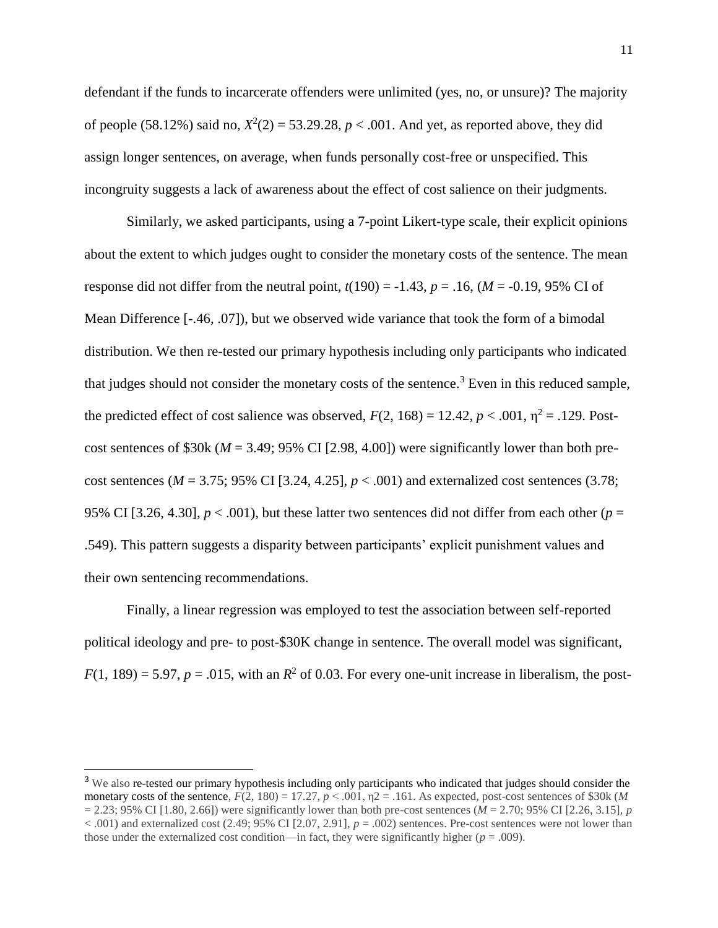defendant if the funds to incarcerate offenders were unlimited (yes, no, or unsure)? The majority of people (58.12%) said no,  $X^2(2) = 53.29.28$ ,  $p < .001$ . And yet, as reported above, they did assign longer sentences, on average, when funds personally cost-free or unspecified. This incongruity suggests a lack of awareness about the effect of cost salience on their judgments.

Similarly, we asked participants, using a 7-point Likert-type scale, their explicit opinions about the extent to which judges ought to consider the monetary costs of the sentence. The mean response did not differ from the neutral point,  $t(190) = -1.43$ ,  $p = .16$ ,  $(M = -0.19, 95\%$  CI of Mean Difference [-.46, .07]), but we observed wide variance that took the form of a bimodal distribution. We then re-tested our primary hypothesis including only participants who indicated that judges should not consider the monetary costs of the sentence.<sup>3</sup> Even in this reduced sample, the predicted effect of cost salience was observed,  $F(2, 168) = 12.42$ ,  $p < .001$ ,  $\eta^2 = .129$ . Postcost sentences of \$30k ( $M = 3.49$ ; 95% CI [2.98, 4.00]) were significantly lower than both precost sentences ( $M = 3.75$ ; 95% CI [3.24, 4.25],  $p < .001$ ) and externalized cost sentences (3.78; 95% CI [3.26, 4.30],  $p < .001$ ), but these latter two sentences did not differ from each other ( $p =$ .549). This pattern suggests a disparity between participants' explicit punishment values and their own sentencing recommendations.

Finally, a linear regression was employed to test the association between self-reported political ideology and pre- to post-\$30K change in sentence. The overall model was significant,  $F(1, 189) = 5.97$ ,  $p = .015$ , with an  $R^2$  of 0.03. For every one-unit increase in liberalism, the post-

<sup>&</sup>lt;sup>3</sup> We also re-tested our primary hypothesis including only participants who indicated that judges should consider the monetary costs of the sentence,  $F(2, 180) = 17.27$ ,  $p < .001$ ,  $p = .161$ . As expected, post-cost sentences of \$30k (*M*  $= 2.23$ ; 95% CI [1.80, 2.66]) were significantly lower than both pre-cost sentences ( $\hat{M} = 2.70$ ; 95% CI [2.26, 3.15], *p*  $< .001$ ) and externalized cost (2.49; 95% CI [2.07, 2.91],  $p = .002$ ) sentences. Pre-cost sentences were not lower than those under the externalized cost condition—in fact, they were significantly higher  $(p = .009)$ .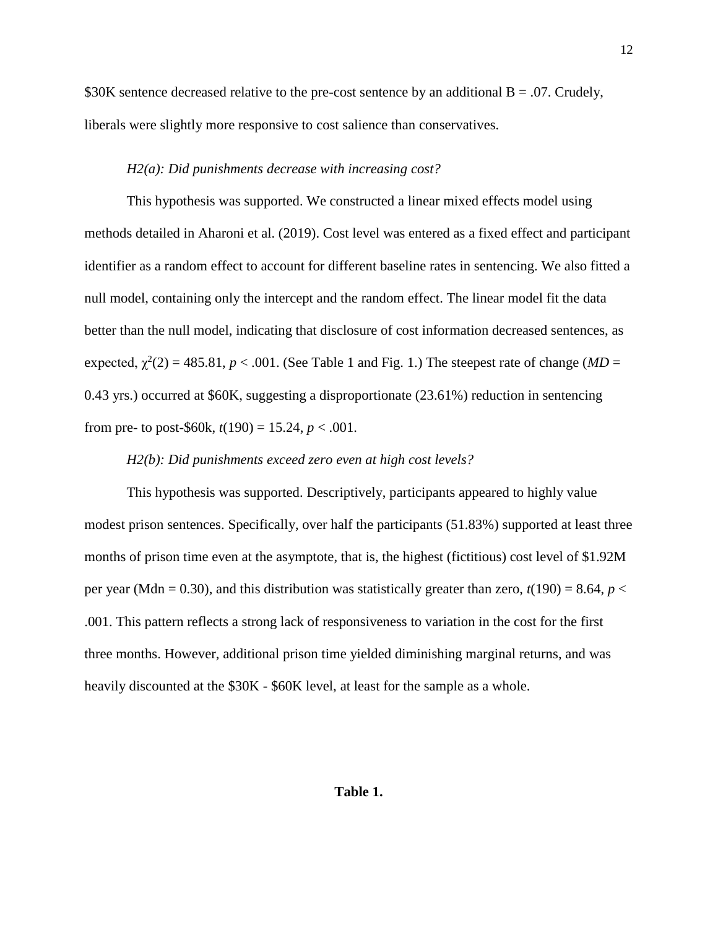\$30K sentence decreased relative to the pre-cost sentence by an additional  $B = .07$ . Crudely, liberals were slightly more responsive to cost salience than conservatives.

#### *H2(a): Did punishments decrease with increasing cost?*

This hypothesis was supported. We constructed a linear mixed effects model using methods detailed in Aharoni et al. (2019). Cost level was entered as a fixed effect and participant identifier as a random effect to account for different baseline rates in sentencing. We also fitted a null model, containing only the intercept and the random effect. The linear model fit the data better than the null model, indicating that disclosure of cost information decreased sentences, as expected,  $\chi^2(2) = 485.81$ ,  $p < .001$ . (See Table 1 and Fig. 1.) The steepest rate of change (*MD* = 0.43 yrs.) occurred at \$60K, suggesting a disproportionate (23.61%) reduction in sentencing from pre- to post-\$60k,  $t(190) = 15.24$ ,  $p < .001$ .

## *H2(b): Did punishments exceed zero even at high cost levels?*

This hypothesis was supported. Descriptively, participants appeared to highly value modest prison sentences. Specifically, over half the participants (51.83%) supported at least three months of prison time even at the asymptote, that is, the highest (fictitious) cost level of \$1.92M per year (Mdn = 0.30), and this distribution was statistically greater than zero,  $t(190) = 8.64$ ,  $p <$ .001. This pattern reflects a strong lack of responsiveness to variation in the cost for the first three months. However, additional prison time yielded diminishing marginal returns, and was heavily discounted at the  $$30K - $60K$  level, at least for the sample as a whole.

#### **Table 1.**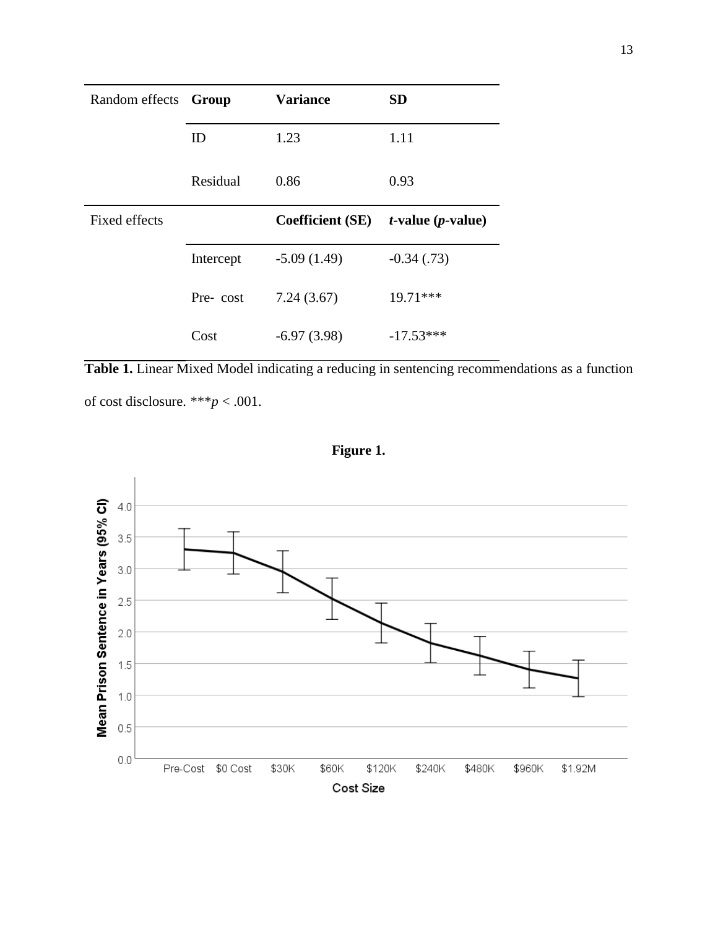| Random effects Group |           | <b>Variance</b>         | <b>SD</b>               |
|----------------------|-----------|-------------------------|-------------------------|
|                      | ID        | 1.23                    | 1.11                    |
|                      | Residual  | 0.86                    | 0.93                    |
| Fixed effects        |           | <b>Coefficient (SE)</b> | $t$ -value $(p$ -value) |
|                      | Intercept | $-5.09(1.49)$           | $-0.34(0.73)$           |
|                      | Pre-cost  | 7.24(3.67)              | 19.71***                |
|                      | Cost      | $-6.97(3.98)$           | $-17.53***$             |

**Table 1.** Linear Mixed Model indicating a reducing in sentencing recommendations as a function of cost disclosure. \*\*\**p* < .001.



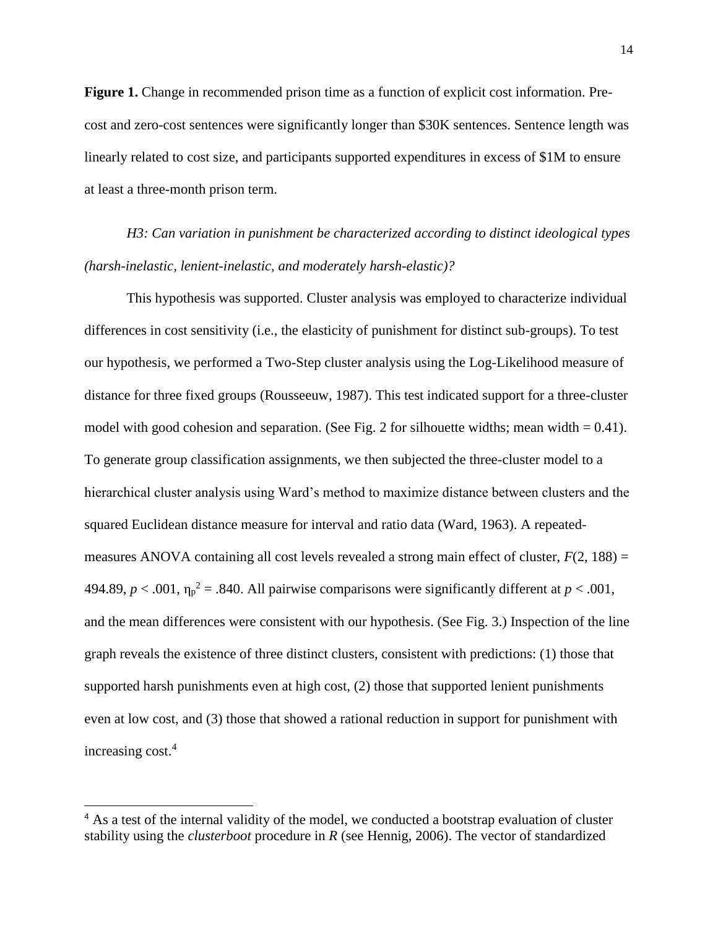**Figure 1.** Change in recommended prison time as a function of explicit cost information. Precost and zero-cost sentences were significantly longer than \$30K sentences. Sentence length was linearly related to cost size, and participants supported expenditures in excess of \$1M to ensure at least a three-month prison term.

*H3: Can variation in punishment be characterized according to distinct ideological types (harsh-inelastic, lenient-inelastic, and moderately harsh-elastic)?* 

This hypothesis was supported. Cluster analysis was employed to characterize individual differences in cost sensitivity (i.e., the elasticity of punishment for distinct sub-groups). To test our hypothesis, we performed a Two-Step cluster analysis using the Log-Likelihood measure of distance for three fixed groups (Rousseeuw, 1987). This test indicated support for a three-cluster model with good cohesion and separation. (See Fig. 2 for silhouette widths; mean width  $= 0.41$ ). To generate group classification assignments, we then subjected the three-cluster model to a hierarchical cluster analysis using Ward's method to maximize distance between clusters and the squared Euclidean distance measure for interval and ratio data (Ward, 1963). A repeatedmeasures ANOVA containing all cost levels revealed a strong main effect of cluster,  $F(2, 188) =$ 494.89,  $p < .001$ ,  $\eta_p^2 = .840$ . All pairwise comparisons were significantly different at  $p < .001$ , and the mean differences were consistent with our hypothesis. (See Fig. 3.) Inspection of the line graph reveals the existence of three distinct clusters, consistent with predictions: (1) those that supported harsh punishments even at high cost, (2) those that supported lenient punishments even at low cost, and (3) those that showed a rational reduction in support for punishment with increasing cost.<sup>4</sup>

<sup>&</sup>lt;sup>4</sup> As a test of the internal validity of the model, we conducted a bootstrap evaluation of cluster stability using the *clusterboot* procedure in *R* (see Hennig, 2006). The vector of standardized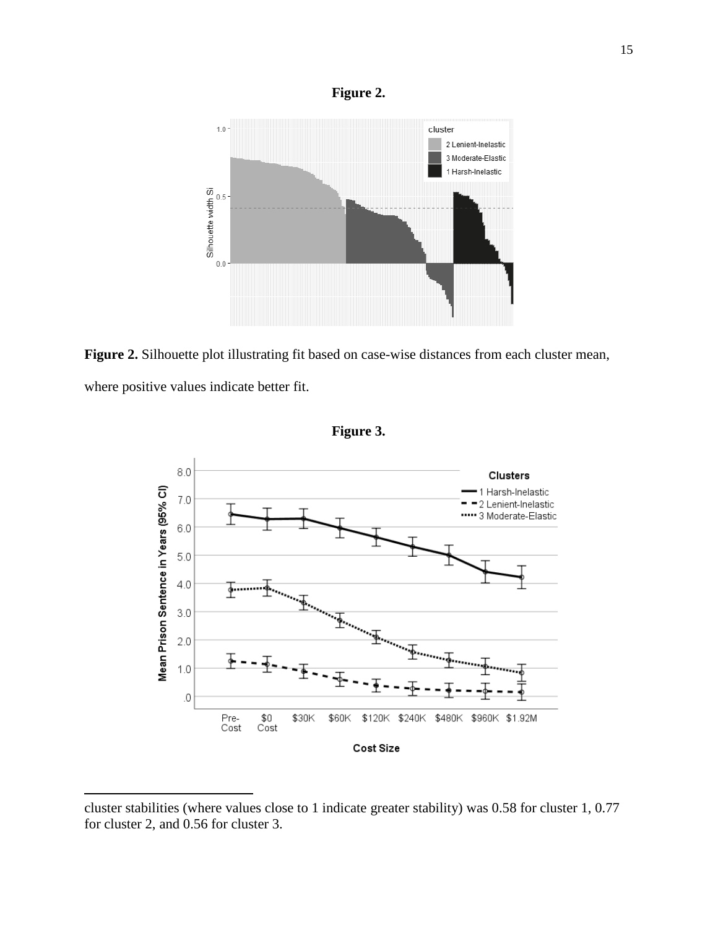

**Figure 2.** Silhouette plot illustrating fit based on case-wise distances from each cluster mean, where positive values indicate better fit.



**Figure 3.**

cluster stabilities (where values close to 1 indicate greater stability) was 0.58 for cluster 1, 0.77 for cluster 2, and 0.56 for cluster 3.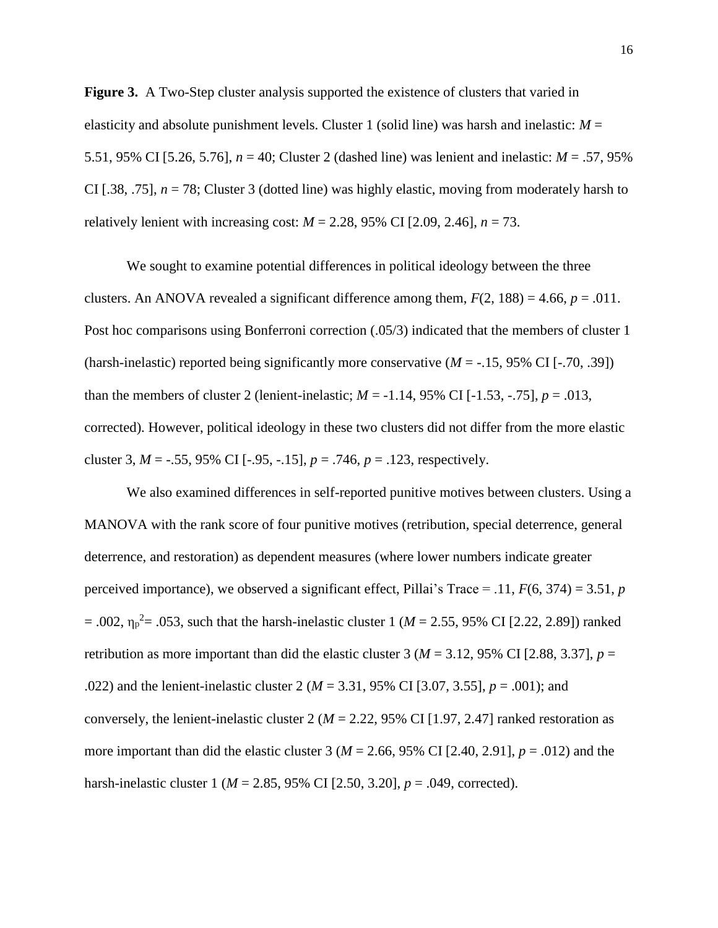**Figure 3.** A Two-Step cluster analysis supported the existence of clusters that varied in elasticity and absolute punishment levels. Cluster 1 (solid line) was harsh and inelastic:  $M =$ 5.51, 95% CI [5.26, 5.76], *n* = 40; Cluster 2 (dashed line) was lenient and inelastic: *M* = .57, 95% CI [.38, .75], *n* = 78; Cluster 3 (dotted line) was highly elastic, moving from moderately harsh to relatively lenient with increasing cost:  $M = 2.28$ , 95% CI [2.09, 2.46],  $n = 73$ .

We sought to examine potential differences in political ideology between the three clusters. An ANOVA revealed a significant difference among them,  $F(2, 188) = 4.66$ ,  $p = .011$ . Post hoc comparisons using Bonferroni correction (.05/3) indicated that the members of cluster 1 (harsh-inelastic) reported being significantly more conservative (*M* = -.15, 95% CI [-.70, .39]) than the members of cluster 2 (lenient-inelastic;  $M = -1.14$ , 95% CI [ $-1.53$ ,  $-75$ ],  $p = .013$ , corrected). However, political ideology in these two clusters did not differ from the more elastic cluster 3,  $M = -0.55$ , 95% CI [ $-0.95$ ,  $-0.15$ ],  $p = 0.746$ ,  $p = 0.123$ , respectively.

We also examined differences in self-reported punitive motives between clusters. Using a MANOVA with the rank score of four punitive motives (retribution, special deterrence, general deterrence, and restoration) as dependent measures (where lower numbers indicate greater perceived importance), we observed a significant effect, Pillai's Trace = .11, *F*(6, 374) = 3.51, *p*  $= .002$ ,  $\eta_p^2 = .053$ , such that the harsh-inelastic cluster 1 (*M* = 2.55, 95% CI [2.22, 2.89]) ranked retribution as more important than did the elastic cluster 3 ( $M = 3.12$ , 95% CI [2.88, 3.37],  $p =$ .022) and the lenient-inelastic cluster 2 (*M* = 3.31, 95% CI [3.07, 3.55], *p* = .001); and conversely, the lenient-inelastic cluster 2 ( $M = 2.22$ , 95% CI [1.97, 2.47] ranked restoration as more important than did the elastic cluster 3 (*M* = 2.66, 95% CI [2.40, 2.91], *p* = .012) and the harsh-inelastic cluster 1 (*M* = 2.85, 95% CI [2.50, 3.20], *p* = .049, corrected).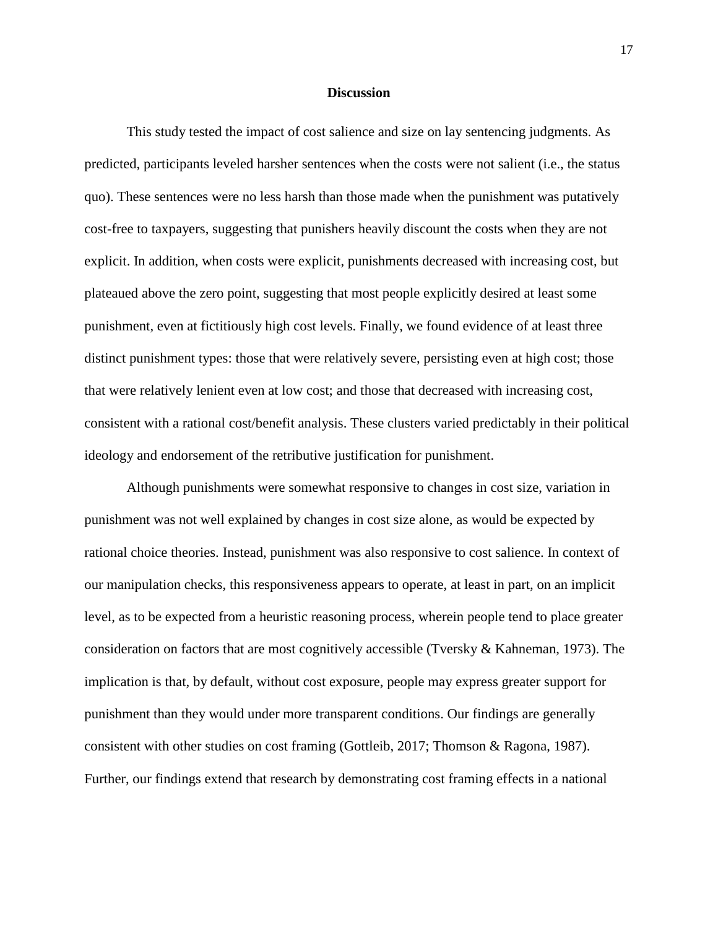#### **Discussion**

This study tested the impact of cost salience and size on lay sentencing judgments. As predicted, participants leveled harsher sentences when the costs were not salient (i.e., the status quo). These sentences were no less harsh than those made when the punishment was putatively cost-free to taxpayers, suggesting that punishers heavily discount the costs when they are not explicit. In addition, when costs were explicit, punishments decreased with increasing cost, but plateaued above the zero point, suggesting that most people explicitly desired at least some punishment, even at fictitiously high cost levels. Finally, we found evidence of at least three distinct punishment types: those that were relatively severe, persisting even at high cost; those that were relatively lenient even at low cost; and those that decreased with increasing cost, consistent with a rational cost/benefit analysis. These clusters varied predictably in their political ideology and endorsement of the retributive justification for punishment.

Although punishments were somewhat responsive to changes in cost size, variation in punishment was not well explained by changes in cost size alone, as would be expected by rational choice theories. Instead, punishment was also responsive to cost salience. In context of our manipulation checks, this responsiveness appears to operate, at least in part, on an implicit level, as to be expected from a heuristic reasoning process, wherein people tend to place greater consideration on factors that are most cognitively accessible (Tversky & Kahneman, 1973). The implication is that, by default, without cost exposure, people may express greater support for punishment than they would under more transparent conditions. Our findings are generally consistent with other studies on cost framing (Gottleib, 2017; Thomson & Ragona, 1987). Further, our findings extend that research by demonstrating cost framing effects in a national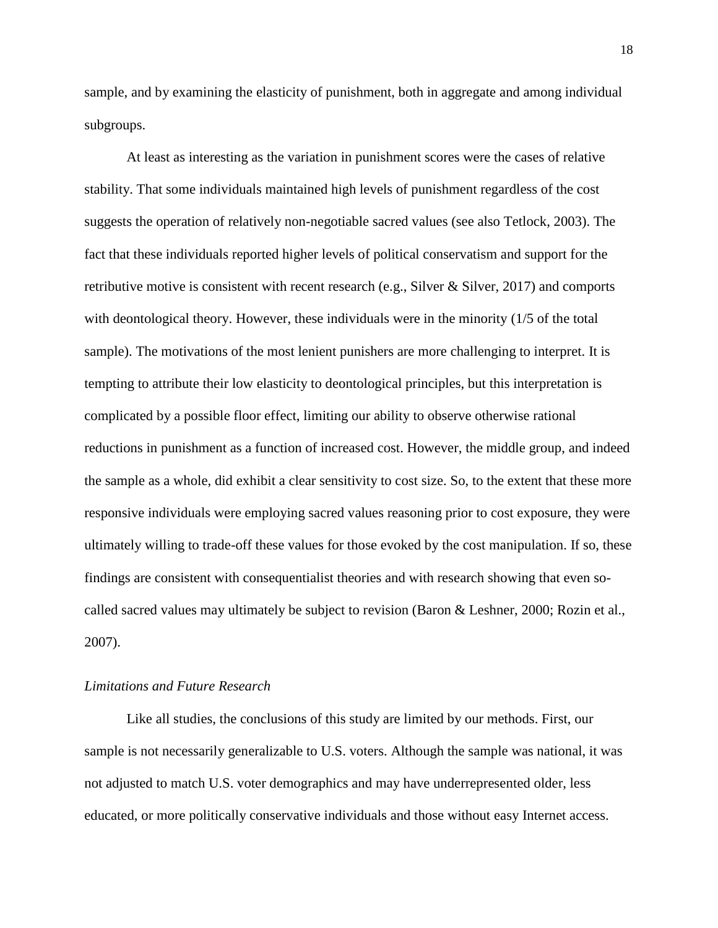sample, and by examining the elasticity of punishment, both in aggregate and among individual subgroups.

At least as interesting as the variation in punishment scores were the cases of relative stability. That some individuals maintained high levels of punishment regardless of the cost suggests the operation of relatively non-negotiable sacred values (see also Tetlock, 2003). The fact that these individuals reported higher levels of political conservatism and support for the retributive motive is consistent with recent research (e.g., Silver & Silver, 2017) and comports with deontological theory. However, these individuals were in the minority (1/5 of the total sample). The motivations of the most lenient punishers are more challenging to interpret. It is tempting to attribute their low elasticity to deontological principles, but this interpretation is complicated by a possible floor effect, limiting our ability to observe otherwise rational reductions in punishment as a function of increased cost. However, the middle group, and indeed the sample as a whole, did exhibit a clear sensitivity to cost size. So, to the extent that these more responsive individuals were employing sacred values reasoning prior to cost exposure, they were ultimately willing to trade-off these values for those evoked by the cost manipulation. If so, these findings are consistent with consequentialist theories and with research showing that even socalled sacred values may ultimately be subject to revision (Baron & Leshner, 2000; Rozin et al., 2007).

#### *Limitations and Future Research*

Like all studies, the conclusions of this study are limited by our methods. First, our sample is not necessarily generalizable to U.S. voters. Although the sample was national, it was not adjusted to match U.S. voter demographics and may have underrepresented older, less educated, or more politically conservative individuals and those without easy Internet access.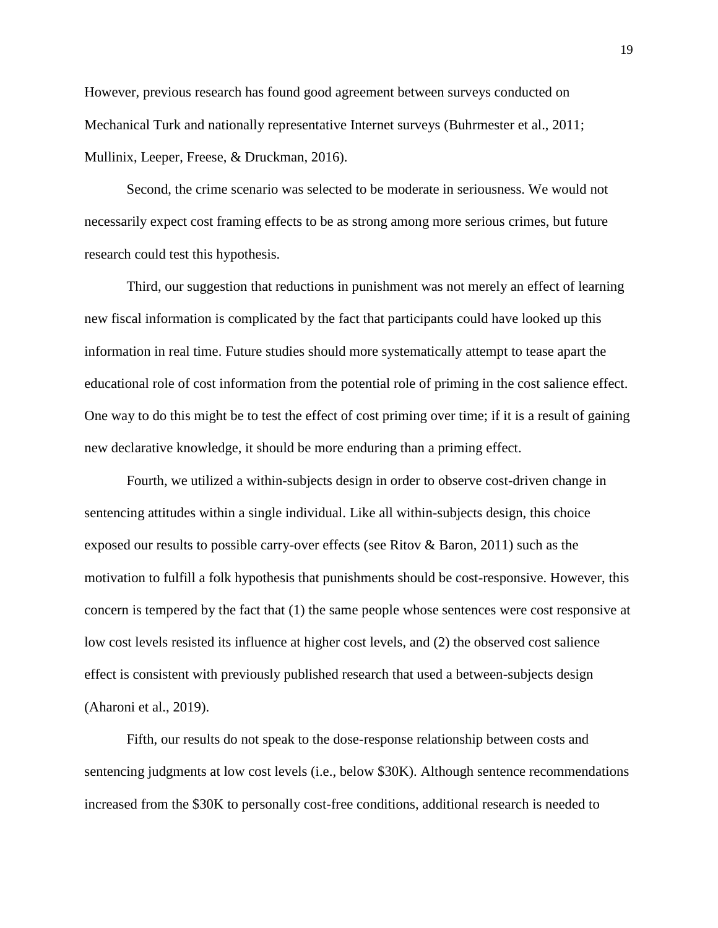However, previous research has found good agreement between surveys conducted on Mechanical Turk and nationally representative Internet surveys (Buhrmester et al., 2011; Mullinix, Leeper, Freese, & Druckman, 2016).

Second, the crime scenario was selected to be moderate in seriousness. We would not necessarily expect cost framing effects to be as strong among more serious crimes, but future research could test this hypothesis.

Third, our suggestion that reductions in punishment was not merely an effect of learning new fiscal information is complicated by the fact that participants could have looked up this information in real time. Future studies should more systematically attempt to tease apart the educational role of cost information from the potential role of priming in the cost salience effect. One way to do this might be to test the effect of cost priming over time; if it is a result of gaining new declarative knowledge, it should be more enduring than a priming effect.

Fourth, we utilized a within-subjects design in order to observe cost-driven change in sentencing attitudes within a single individual. Like all within-subjects design, this choice exposed our results to possible carry-over effects (see Ritov & Baron, 2011) such as the motivation to fulfill a folk hypothesis that punishments should be cost-responsive. However, this concern is tempered by the fact that (1) the same people whose sentences were cost responsive at low cost levels resisted its influence at higher cost levels, and (2) the observed cost salience effect is consistent with previously published research that used a between-subjects design (Aharoni et al., 2019).

Fifth, our results do not speak to the dose-response relationship between costs and sentencing judgments at low cost levels (i.e., below \$30K). Although sentence recommendations increased from the \$30K to personally cost-free conditions, additional research is needed to

19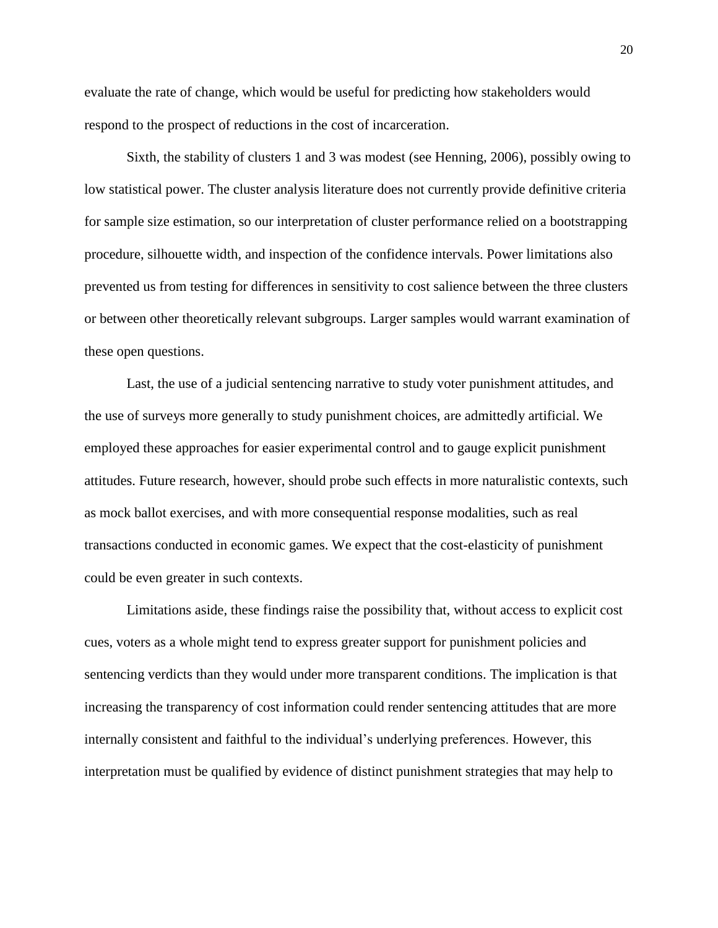evaluate the rate of change, which would be useful for predicting how stakeholders would respond to the prospect of reductions in the cost of incarceration.

Sixth, the stability of clusters 1 and 3 was modest (see Henning, 2006), possibly owing to low statistical power. The cluster analysis literature does not currently provide definitive criteria for sample size estimation, so our interpretation of cluster performance relied on a bootstrapping procedure, silhouette width, and inspection of the confidence intervals. Power limitations also prevented us from testing for differences in sensitivity to cost salience between the three clusters or between other theoretically relevant subgroups. Larger samples would warrant examination of these open questions.

Last, the use of a judicial sentencing narrative to study voter punishment attitudes, and the use of surveys more generally to study punishment choices, are admittedly artificial. We employed these approaches for easier experimental control and to gauge explicit punishment attitudes. Future research, however, should probe such effects in more naturalistic contexts, such as mock ballot exercises, and with more consequential response modalities, such as real transactions conducted in economic games. We expect that the cost-elasticity of punishment could be even greater in such contexts.

Limitations aside, these findings raise the possibility that, without access to explicit cost cues, voters as a whole might tend to express greater support for punishment policies and sentencing verdicts than they would under more transparent conditions. The implication is that increasing the transparency of cost information could render sentencing attitudes that are more internally consistent and faithful to the individual's underlying preferences. However, this interpretation must be qualified by evidence of distinct punishment strategies that may help to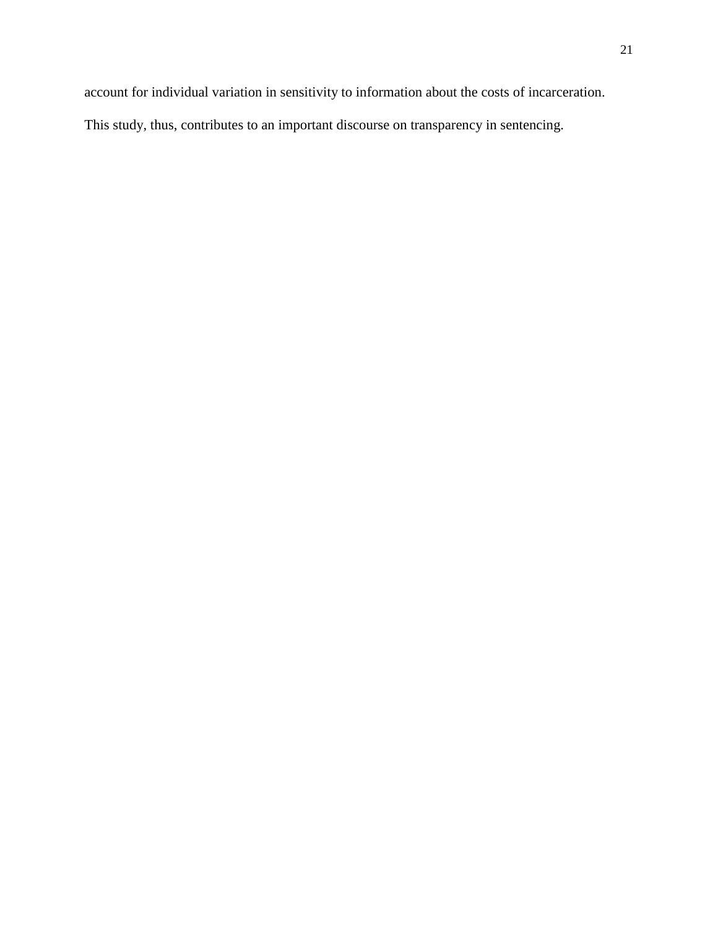account for individual variation in sensitivity to information about the costs of incarceration.

This study, thus, contributes to an important discourse on transparency in sentencing.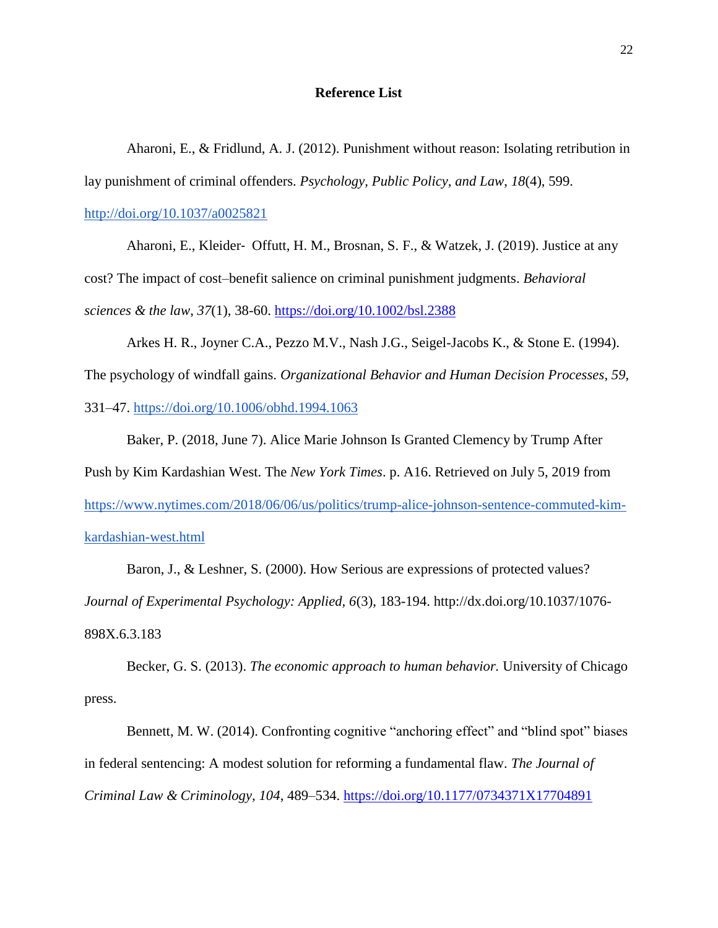#### **Reference List**

Aharoni, E., & Fridlund, A. J. (2012). Punishment without reason: Isolating retribution in lay punishment of criminal offenders. *Psychology, Public Policy, and Law*, *18*(4), 599[.](http://doi.org/10.1037/a0025821)

<http://doi.org/10.1037/a0025821>

Aharoni, E., Kleider‐ Offutt, H. M., Brosnan, S. F., & Watzek, J. (2019). Justice at any cost? The impact of cost–benefit salience on criminal punishment judgments. *Behavioral sciences & the law*, *37*(1), 38-60. <https://doi.org/10.1002/bsl.2388>

Arkes H. R., Joyner C.A., Pezzo M.V., Nash J.G., Seigel-Jacobs K., & Stone E. (1994). The psychology of windfall gains. *Organizational Behavior and Human Decision Processes*, *59*, 331–47.<https://doi.org/10.1006/obhd.1994.1063>

Baker, P. (2018, June 7). Alice Marie Johnson Is Granted Clemency by Trump After Push by Kim Kardashian West. The *New York Times*. p. A16. Retrieved on July 5, 2019 from [https://www.nytimes.com/2018/06/06/us/politics/trump-alice-johnson-sentence-commuted-kim](https://www.nytimes.com/2018/06/06/us/politics/trump-alice-johnson-sentence-commuted-kim-kardashian-west.html)[kardashian-west.html](https://www.nytimes.com/2018/06/06/us/politics/trump-alice-johnson-sentence-commuted-kim-kardashian-west.html)

Baron, J., & Leshner, S. (2000). How Serious are expressions of protected values? *Journal of Experimental Psychology: Applied, 6*(3), 183-194. http://dx.doi.org/10.1037/1076- 898X.6.3.18[3](https://doi.org/10.1006/obhd.1994.1063)

Becker, G. S. (2013). *The economic approach to human behavior.* University of Chicago press.

Bennett, M. W. (2014). Confronting cognitive "anchoring effect" and "blind spot" biases in federal sentencing: A modest solution for reforming a fundamental flaw. *The Journal of Criminal Law & Criminology, 104*, 489–534.<https://doi.org/10.1177/0734371X17704891>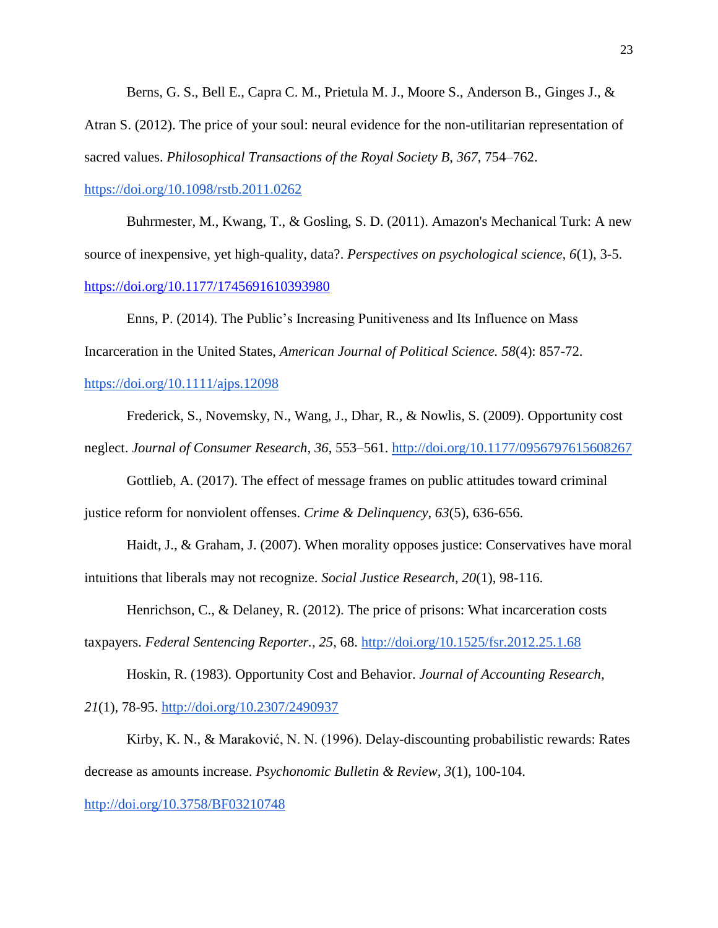Berns, G. S., Bell E., Capra C. M., Prietula M. J., Moore S., Anderson B., Ginges J., & Atran S. (2012). The price of your soul: neural evidence for the non-utilitarian representation of sacred values. *Philosophical Transactions of the Royal Society B*, *367*, 754–762[.](https://doi.org/10.1098/rstb.2011.0262)

#### <https://doi.org/10.1098/rstb.2011.0262>

Buhrmester, M., Kwang, T., & Gosling, S. D. (2011). Amazon's Mechanical Turk: A new source of inexpensive, yet high-quality, data?. *Perspectives on psychological science, 6*(1), 3-5. <https://doi.org/10.1177/1745691610393980>

Enns, P. (2014). The Public's Increasing Punitiveness and Its Influence on Mass Incarceration in the United States, *American Journal of Political Science. 58*(4): 857-72[.](https://doi.org/10.1111/ajps.12098)

#### <https://doi.org/10.1111/ajps.12098>

Frederick, S., Novemsky, N., Wang, J., Dhar, R., & Nowlis, S. (2009). Opportunity cost neglect. *Journal of Consumer Research*, *36*, 553–561. <http://doi.org/10.1177/0956797615608267>

Gottlieb, A. (2017). The effect of message frames on public attitudes toward criminal justice reform for nonviolent offenses. *Crime & Delinquency, 63*(5), 636-656.

Haidt, J., & Graham, J. (2007). When morality opposes justice: Conservatives have moral intuitions that liberals may not recognize. *Social Justice Research*, *20*(1), 98-116.

Henrichson, C., & Delaney, R. (2012). The price of prisons: What incarceration costs

taxpayers. *Federal Sentencing Reporter., 25*, 68. <http://doi.org/10.1525/fsr.2012.25.1.68>

Hoskin, R. (1983). Opportunity Cost and Behavior. *Journal of Accounting Research, 21*(1), 78-95. <http://doi.org/10.2307/2490937>

Kirby, K. N., & Maraković, N. N. (1996). Delay-discounting probabilistic rewards: Rates decrease as amounts increase. *Psychonomic Bulletin & Review, 3*(1), 100-104.

<http://doi.org/10.3758/BF03210748>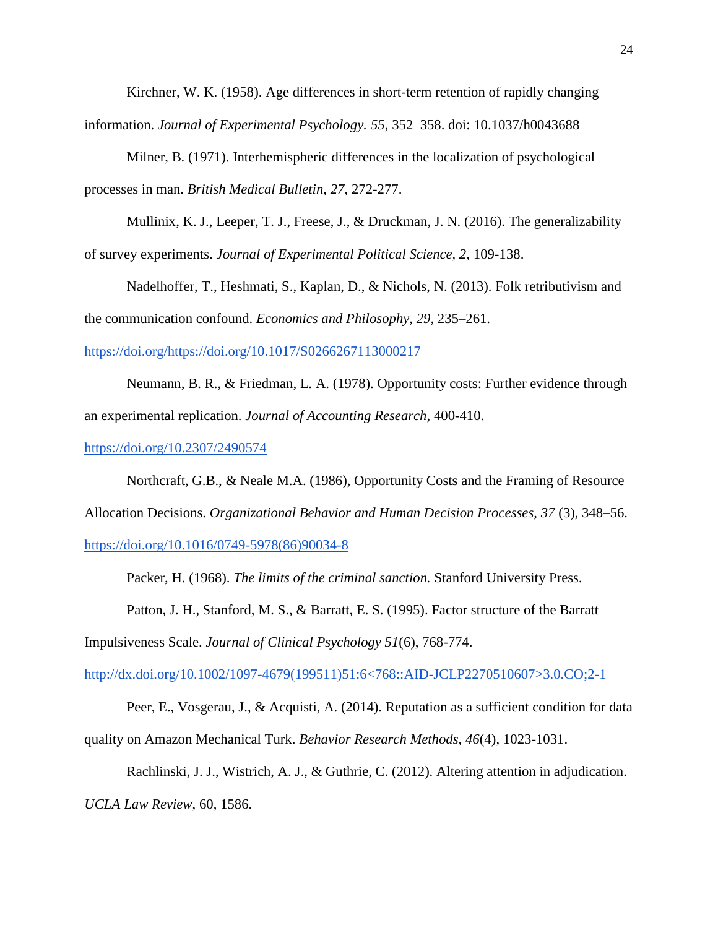Kirchner, W. K. (1958). Age differences in short-term retention of rapidly changing

information. *Journal of Experimental Psychology. 55*, 352–358. doi: 10.1037/h0043688

Milner, B. (1971). Interhemispheric differences in the localization of psychological processes in man. *British Medical Bulletin, 27*, 272-277.

Mullinix, K. J., Leeper, T. J., Freese, J., & Druckman, J. N. (2016). The generalizability of survey experiments. *Journal of Experimental Political Science, 2*, 109-138.

Nadelhoffer, T., Heshmati, S., Kaplan, D., & Nichols, N. (2013). Folk retributivism and the communication confound. *Economics and Philosophy, 29,* 235–261.

[https://doi.org/https://doi.org/10.1017/S0266267113000217](https://doi.org/https:/doi.org/10.1017/S0266267113000217)

Neumann, B. R., & Friedman, L. A. (1978). Opportunity costs: Further evidence through an experimental replication. *Journal of Accounting Research*, 400-410[.](https://doi.org/10.2307/2490574)

<https://doi.org/10.2307/2490574>

Northcraft, G.B., & Neale M.A. (1986), Opportunity Costs and the Framing of Resource Allocation Decisions. *Organizational Behavior and Human Decision Processes, 37* (3), 348–56[.](https://doi.org/10.1016/0749-5978(86)90034-8) [https://doi.org/10.1016/0749-5978\(86\)90034-8](https://doi.org/10.1016/0749-5978(86)90034-8)

Packer, H. (1968). *The limits of the criminal sanction.* Stanford University Press.

Patton, J. H., Stanford, M. S., & Barratt, E. S. (1995). Factor structure of the Barratt

Impulsiveness Scale. *Journal of Clinical Psychology 51*(6), 768-774.

[http://dx.doi.org/10.1002/1097-4679\(199511\)51:6<768::AID-JCLP2270510607>3.0.CO;2-1](http://dx.doi.org/10.1002/1097-4679(199511)51:6)

Peer, E., Vosgerau, J., & Acquisti, A. (2014). Reputation as a sufficient condition for data quality on Amazon Mechanical Turk. *Behavior Research Methods, 46*(4), 1023-1031.

Rachlinski, J. J., Wistrich, A. J., & Guthrie, C. (2012). Altering attention in adjudication.

*UCLA Law Review*, 60, 1586.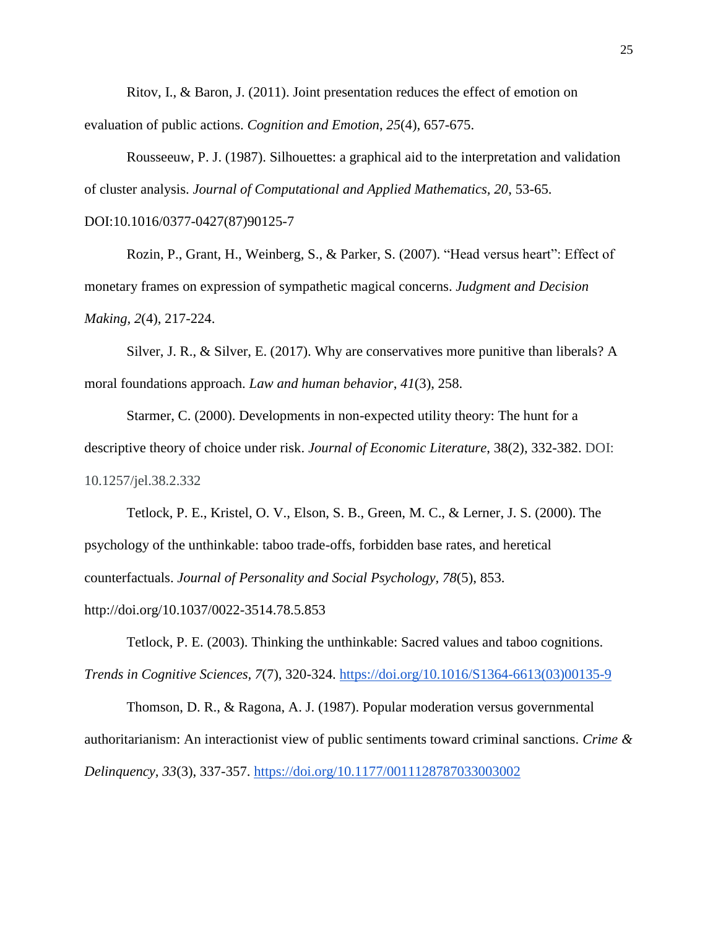Ritov, I., & Baron, J. (2011). Joint presentation reduces the effect of emotion on evaluation of public actions. *Cognition and Emotion*, *25*(4), 657-675.

Rousseeuw, P. J. (1987). Silhouettes: a graphical aid to the interpretation and validation of cluster analysis. *Journal of Computational and Applied Mathematics, 20*, 53-65.

DOI:10.1016/0377-0427(87)90125-7

Rozin, P., Grant, H., Weinberg, S., & Parker, S. (2007). "Head versus heart": Effect of monetary frames on expression of sympathetic magical concerns. *Judgment and Decision Making, 2*(4), 217-224.

Silver, J. R., & Silver, E. (2017). Why are conservatives more punitive than liberals? A moral foundations approach. *Law and human behavior*, *41*(3), 258.

Starmer, C. (2000). Developments in non-expected utility theory: The hunt for a descriptive theory of choice under risk. *Journal of Economic Literature*, 38(2), 332-382. DOI: 10.1257/jel.38.2.332

Tetlock, P. E., Kristel, O. V., Elson, S. B., Green, M. C., & Lerner, J. S. (2000). The psychology of the unthinkable: taboo trade-offs, forbidden base rates, and heretical counterfactuals. *Journal of Personality and Social Psychology, 78*(5), 853. http://doi.org/10.1037/0022-3514.78.5.853

Tetlock, P. E. (2003). Thinking the unthinkable: Sacred values and taboo cognitions. *Trends in Cognitive Sciences, 7*(7), 320-324[.](https://doi.org/10.1016/S1364-6613(03)00135-9) [https://doi.org/10.1016/S1364-6613\(03\)00135-9](https://doi.org/10.1016/S1364-6613(03)00135-9)

Thomson, D. R., & Ragona, A. J. (1987). Popular moderation versus governmental authoritarianism: An interactionist view of public sentiments toward criminal sanctions. *Crime & Delinquency, 33*(3), 337-357.<https://doi.org/10.1177/0011128787033003002>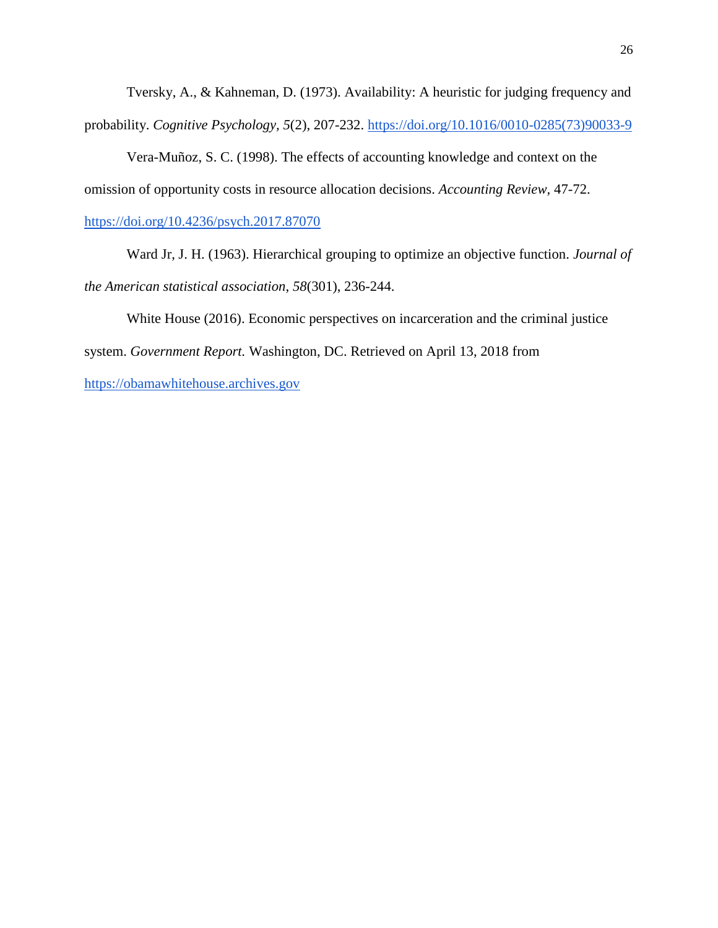Tversky, A., & Kahneman, D. (1973). Availability: A heuristic for judging frequency and probability. *Cognitive Psychology, 5*(2), 207-232[.](https://doi.org/10.1016/0010-0285(73)90033-9) [https://doi.org/10.1016/0010-0285\(73\)90033-9](https://doi.org/10.1016/0010-0285(73)90033-9)

Vera-Muñoz, S. C. (1998). The effects of accounting knowledge and context on the omission of opportunity costs in resource allocation decisions. *Accounting Review,* 47-72.

## <https://doi.org/10.4236/psych.2017.87070>

Ward Jr, J. H. (1963). Hierarchical grouping to optimize an objective function. *Journal of the American statistical association*, *58*(301), 236-244.

White House (2016). Economic perspectives on incarceration and the criminal justice

system. *Government Report.* Washington, DC. Retrieved on April 13, 2018 fro[m](https://obamawhitehouse.archives.gov/)

[https://obamawhitehouse.archives.gov](https://obamawhitehouse.archives.gov/)